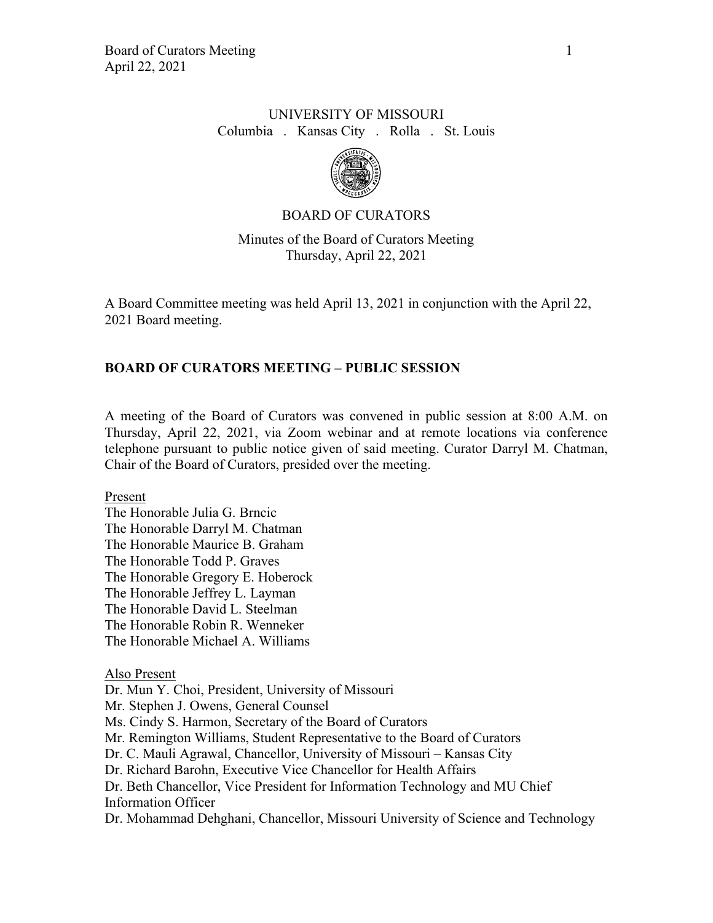# UNIVERSITY OF MISSOURI Columbia . Kansas City . Rolla . St. Louis



## BOARD OF CURATORS

Minutes of the Board of Curators Meeting Thursday, April 22, 2021

A Board Committee meeting was held April 13, 2021 in conjunction with the April 22, 2021 Board meeting.

## **BOARD OF CURATORS MEETING – PUBLIC SESSION**

A meeting of the Board of Curators was convened in public session at 8:00 A.M. on Thursday, April 22, 2021, via Zoom webinar and at remote locations via conference telephone pursuant to public notice given of said meeting. Curator Darryl M. Chatman, Chair of the Board of Curators, presided over the meeting.

Present

The Honorable Julia G. Brncic The Honorable Darryl M. Chatman The Honorable Maurice B. Graham The Honorable Todd P. Graves The Honorable Gregory E. Hoberock The Honorable Jeffrey L. Layman The Honorable David L. Steelman The Honorable Robin R. Wenneker The Honorable Michael A. Williams

#### Also Present

Dr. Mun Y. Choi, President, University of Missouri Mr. Stephen J. Owens, General Counsel Ms. Cindy S. Harmon, Secretary of the Board of Curators Mr. Remington Williams, Student Representative to the Board of Curators Dr. C. Mauli Agrawal, Chancellor, University of Missouri – Kansas City Dr. Richard Barohn, Executive Vice Chancellor for Health Affairs Dr. Beth Chancellor, Vice President for Information Technology and MU Chief Information Officer Dr. Mohammad Dehghani, Chancellor, Missouri University of Science and Technology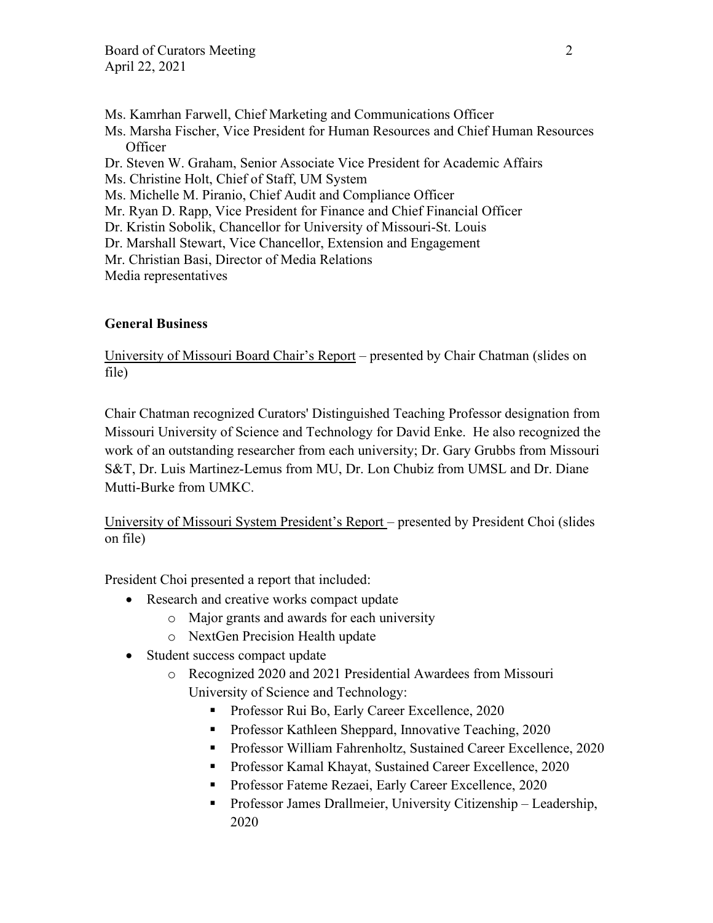- Ms. Kamrhan Farwell, Chief Marketing and Communications Officer
- Ms. Marsha Fischer, Vice President for Human Resources and Chief Human Resources **Officer**
- Dr. Steven W. Graham, Senior Associate Vice President for Academic Affairs
- Ms. Christine Holt, Chief of Staff, UM System
- Ms. Michelle M. Piranio, Chief Audit and Compliance Officer
- Mr. Ryan D. Rapp, Vice President for Finance and Chief Financial Officer
- Dr. Kristin Sobolik, Chancellor for University of Missouri-St. Louis
- Dr. Marshall Stewart, Vice Chancellor, Extension and Engagement
- Mr. Christian Basi, Director of Media Relations

Media representatives

# **General Business**

University of Missouri Board Chair's Report – presented by Chair Chatman (slides on file)

Chair Chatman recognized Curators' Distinguished Teaching Professor designation from Missouri University of Science and Technology for David Enke. He also recognized the work of an outstanding researcher from each university; Dr. Gary Grubbs from Missouri S&T, Dr. Luis Martinez-Lemus from MU, Dr. Lon Chubiz from UMSL and Dr. Diane Mutti-Burke from UMKC.

University of Missouri System President's Report – presented by President Choi (slides on file)

President Choi presented a report that included:

- Research and creative works compact update
	- o Major grants and awards for each university
	- o NextGen Precision Health update
- Student success compact update
	- o Recognized 2020 and 2021 Presidential Awardees from Missouri University of Science and Technology:
		- **Professor Rui Bo, Early Career Excellence, 2020**
		- **Professor Kathleen Sheppard, Innovative Teaching, 2020**
		- **Professor William Fahrenholtz, Sustained Career Excellence, 2020**
		- Professor Kamal Khayat, Sustained Career Excellence, 2020
		- Professor Fateme Rezaei, Early Career Excellence, 2020
		- Professor James Drallmeier, University Citizenship Leadership, 2020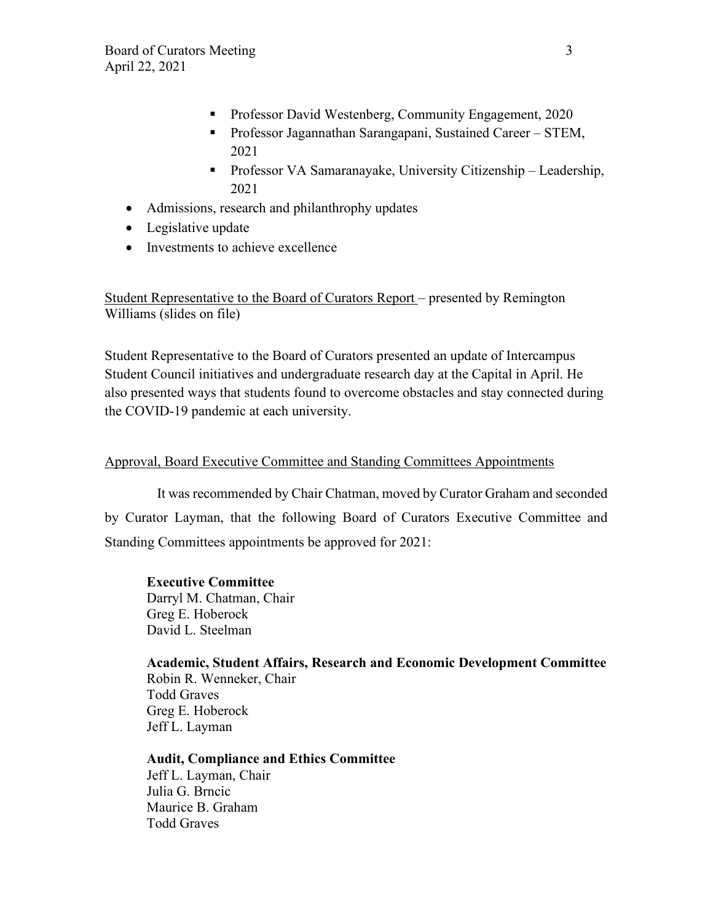- **Professor David Westenberg, Community Engagement, 2020**
- Professor Jagannathan Sarangapani, Sustained Career STEM, 2021
- Professor VA Samaranayake, University Citizenship Leadership, 2021
- Admissions, research and philanthrophy updates
- Legislative update
- Investments to achieve excellence

Student Representative to the Board of Curators Report – presented by Remington Williams (slides on file)

Student Representative to the Board of Curators presented an update of Intercampus Student Council initiatives and undergraduate research day at the Capital in April. He also presented ways that students found to overcome obstacles and stay connected during the COVID-19 pandemic at each university.

## Approval, Board Executive Committee and Standing Committees Appointments

It was recommended by Chair Chatman, moved by Curator Graham and seconded by Curator Layman, that the following Board of Curators Executive Committee and Standing Committees appointments be approved for 2021:

#### **Executive Committee**

Darryl M. Chatman, Chair Greg E. Hoberock David L. Steelman

**Academic, Student Affairs, Research and Economic Development Committee** Robin R. Wenneker, Chair Todd Graves Greg E. Hoberock Jeff L. Layman

# **Audit, Compliance and Ethics Committee**

Jeff L. Layman, Chair Julia G. Brncic Maurice B. Graham Todd Graves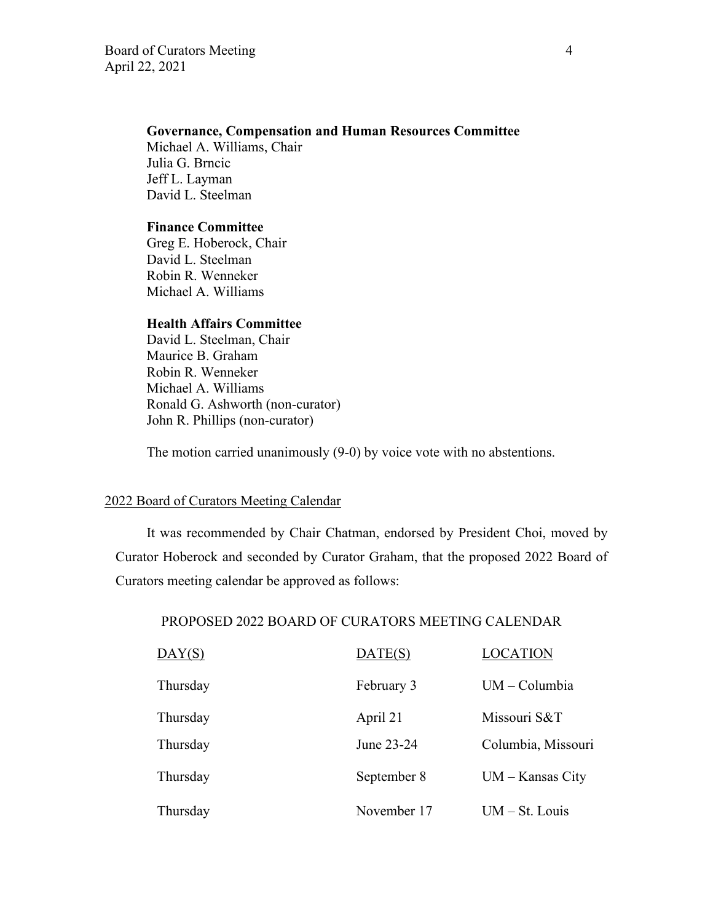# **Governance, Compensation and Human Resources Committee**

Michael A. Williams, Chair Julia G. Brncic Jeff L. Layman David L. Steelman

## **Finance Committee**

Greg E. Hoberock, Chair David L. Steelman Robin R. Wenneker Michael A. Williams

#### **Health Affairs Committee**

 David L. Steelman, Chair Maurice B. Graham Robin R. Wenneker Michael A. Williams Ronald G. Ashworth (non-curator) John R. Phillips (non-curator)

The motion carried unanimously (9-0) by voice vote with no abstentions.

## 2022 Board of Curators Meeting Calendar

It was recommended by Chair Chatman, endorsed by President Choi, moved by Curator Hoberock and seconded by Curator Graham, that the proposed 2022 Board of Curators meeting calendar be approved as follows:

#### PROPOSED 2022 BOARD OF CURATORS MEETING CALENDAR

| $\overline{\text{DAY(S)}}$ | DATE(S)     | <b>LOCATION</b>    |
|----------------------------|-------------|--------------------|
| Thursday                   | February 3  | $UM - Columbia$    |
| Thursday                   | April 21    | Missouri S&T       |
| Thursday                   | June 23-24  | Columbia, Missouri |
| Thursday                   | September 8 | $UM - Kansas City$ |
| Thursday                   | November 17 | $UM - St. Louis$   |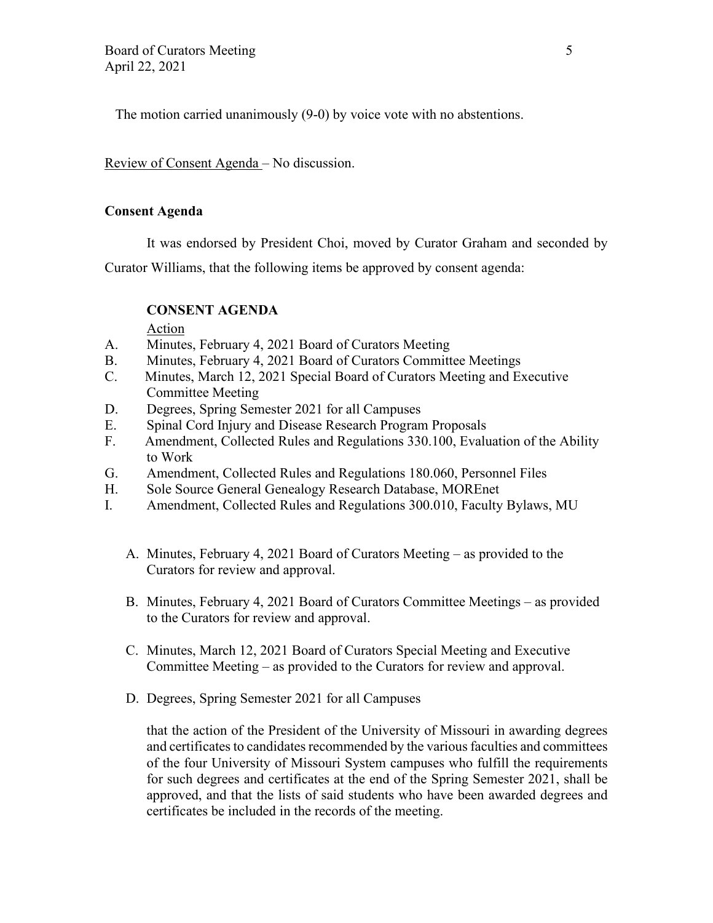The motion carried unanimously (9-0) by voice vote with no abstentions.

Review of Consent Agenda – No discussion.

## **Consent Agenda**

It was endorsed by President Choi, moved by Curator Graham and seconded by

Curator Williams, that the following items be approved by consent agenda:

# **CONSENT AGENDA**

Action

- A. Minutes, February 4, 2021 Board of Curators Meeting
- B. Minutes, February 4, 2021 Board of Curators Committee Meetings
- C. Minutes, March 12, 2021 Special Board of Curators Meeting and Executive Committee Meeting
- D. Degrees, Spring Semester 2021 for all Campuses
- E. Spinal Cord Injury and Disease Research Program Proposals
- F. Amendment, Collected Rules and Regulations 330.100, Evaluation of the Ability to Work
- G. Amendment, Collected Rules and Regulations 180.060, Personnel Files
- H. Sole Source General Genealogy Research Database, MOREnet
- I. Amendment, Collected Rules and Regulations 300.010, Faculty Bylaws, MU
	- A. Minutes, February 4, 2021 Board of Curators Meeting as provided to the Curators for review and approval.
	- B. Minutes, February 4, 2021 Board of Curators Committee Meetings as provided to the Curators for review and approval.
	- C. Minutes, March 12, 2021 Board of Curators Special Meeting and Executive Committee Meeting – as provided to the Curators for review and approval.
	- D. Degrees, Spring Semester 2021 for all Campuses

that the action of the President of the University of Missouri in awarding degrees and certificates to candidates recommended by the various faculties and committees of the four University of Missouri System campuses who fulfill the requirements for such degrees and certificates at the end of the Spring Semester 2021, shall be approved, and that the lists of said students who have been awarded degrees and certificates be included in the records of the meeting.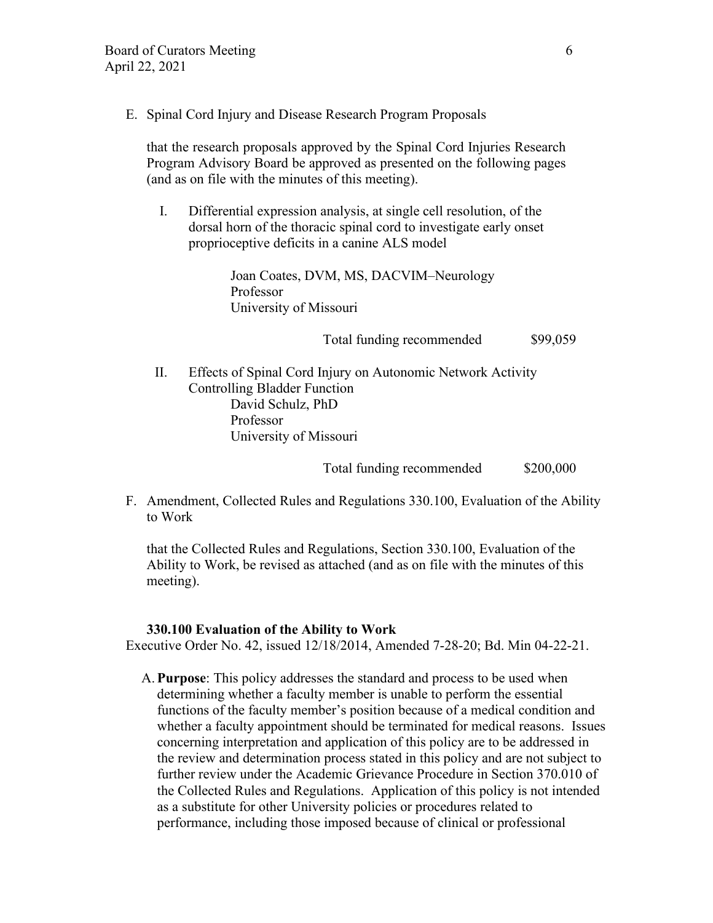E. Spinal Cord Injury and Disease Research Program Proposals

that the research proposals approved by the Spinal Cord Injuries Research Program Advisory Board be approved as presented on the following pages (and as on file with the minutes of this meeting).

I. Differential expression analysis, at single cell resolution, of the dorsal horn of the thoracic spinal cord to investigate early onset proprioceptive deficits in a canine ALS model

> Joan Coates, DVM, MS, DACVIM–Neurology Professor University of Missouri

> > Total funding recommended \$99,059

II. Effects of Spinal Cord Injury on Autonomic Network Activity Controlling Bladder Function David Schulz, PhD Professor University of Missouri

Total funding recommended \$200,000

F. Amendment, Collected Rules and Regulations 330.100, Evaluation of the Ability to Work

that the Collected Rules and Regulations, Section 330.100, Evaluation of the Ability to Work, be revised as attached (and as on file with the minutes of this meeting).

#### **330.100 Evaluation of the Ability to Work**

Executive Order No. 42, issued 12/18/2014, Amended 7-28-20; Bd. Min 04-22-21.

A.**Purpose**: This policy addresses the standard and process to be used when determining whether a faculty member is unable to perform the essential functions of the faculty member's position because of a medical condition and whether a faculty appointment should be terminated for medical reasons. Issues concerning interpretation and application of this policy are to be addressed in the review and determination process stated in this policy and are not subject to further review under the Academic Grievance Procedure in Section 370.010 of the Collected Rules and Regulations. Application of this policy is not intended as a substitute for other University policies or procedures related to performance, including those imposed because of clinical or professional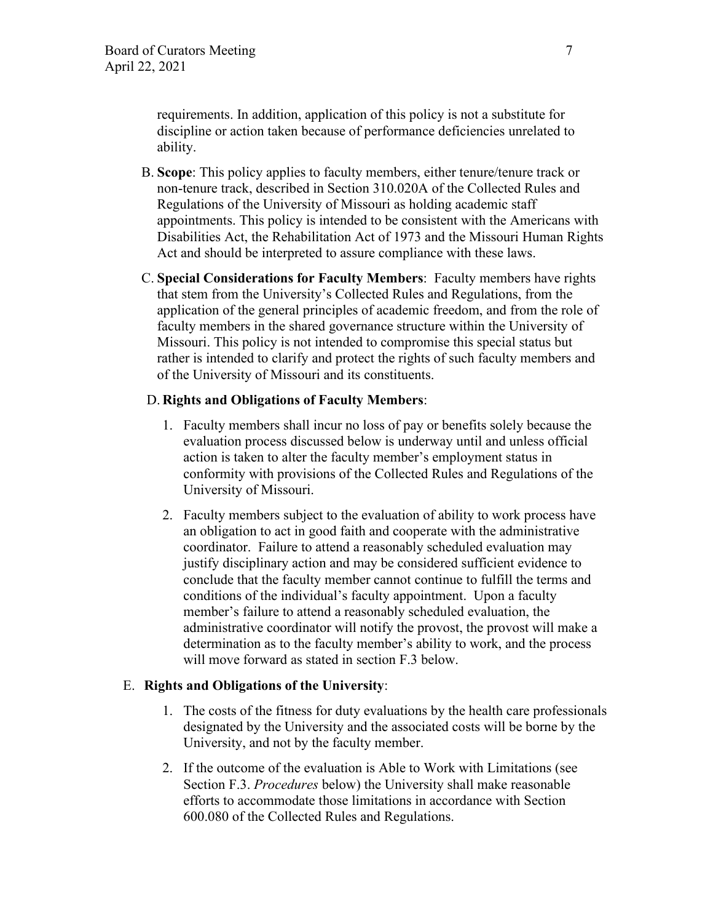requirements. In addition, application of this policy is not a substitute for discipline or action taken because of performance deficiencies unrelated to ability.

- B. **Scope**: This policy applies to faculty members, either tenure/tenure track or non-tenure track, described in Section 310.020A of the Collected Rules and Regulations of the University of Missouri as holding academic staff appointments. This policy is intended to be consistent with the Americans with Disabilities Act, the Rehabilitation Act of 1973 and the Missouri Human Rights Act and should be interpreted to assure compliance with these laws.
- C. **Special Considerations for Faculty Members**: Faculty members have rights that stem from the University's Collected Rules and Regulations, from the application of the general principles of academic freedom, and from the role of faculty members in the shared governance structure within the University of Missouri. This policy is not intended to compromise this special status but rather is intended to clarify and protect the rights of such faculty members and of the University of Missouri and its constituents.

## D. **Rights and Obligations of Faculty Members**:

- 1. Faculty members shall incur no loss of pay or benefits solely because the evaluation process discussed below is underway until and unless official action is taken to alter the faculty member's employment status in conformity with provisions of the Collected Rules and Regulations of the University of Missouri.
- 2. Faculty members subject to the evaluation of ability to work process have an obligation to act in good faith and cooperate with the administrative coordinator. Failure to attend a reasonably scheduled evaluation may justify disciplinary action and may be considered sufficient evidence to conclude that the faculty member cannot continue to fulfill the terms and conditions of the individual's faculty appointment. Upon a faculty member's failure to attend a reasonably scheduled evaluation, the administrative coordinator will notify the provost, the provost will make a determination as to the faculty member's ability to work, and the process will move forward as stated in section F.3 below.

#### E. **Rights and Obligations of the University**:

- 1. The costs of the fitness for duty evaluations by the health care professionals designated by the University and the associated costs will be borne by the University, and not by the faculty member.
- 2. If the outcome of the evaluation is Able to Work with Limitations (see Section F.3. *Procedures* below) the University shall make reasonable efforts to accommodate those limitations in accordance with Section 600.080 of the Collected Rules and Regulations.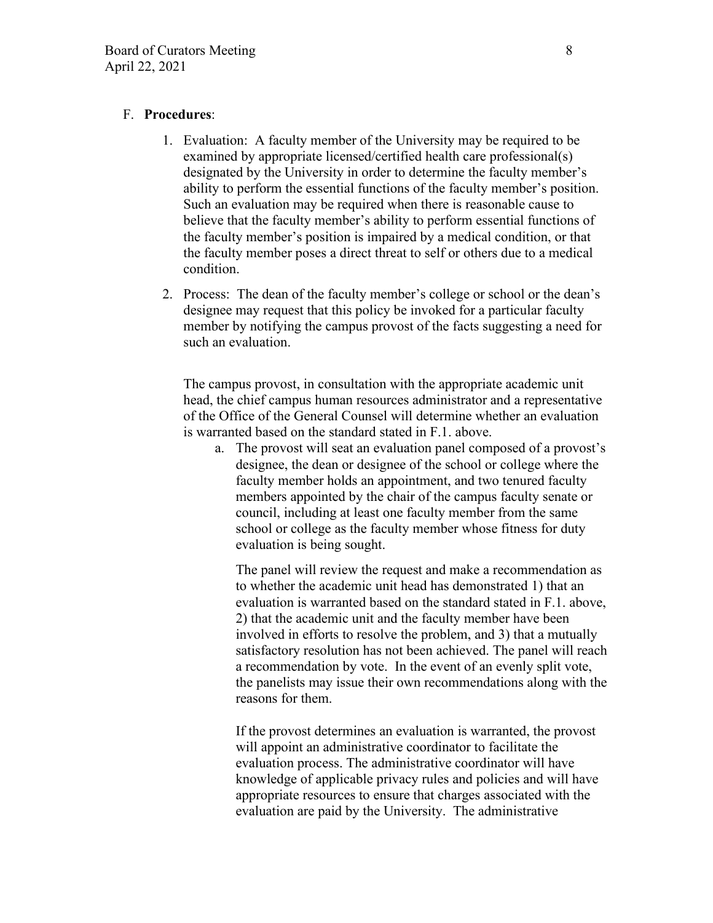## F. **Procedures**:

- 1. Evaluation: A faculty member of the University may be required to be examined by appropriate licensed/certified health care professional(s) designated by the University in order to determine the faculty member's ability to perform the essential functions of the faculty member's position. Such an evaluation may be required when there is reasonable cause to believe that the faculty member's ability to perform essential functions of the faculty member's position is impaired by a medical condition, or that the faculty member poses a direct threat to self or others due to a medical condition.
- 2. Process: The dean of the faculty member's college or school or the dean's designee may request that this policy be invoked for a particular faculty member by notifying the campus provost of the facts suggesting a need for such an evaluation.

The campus provost, in consultation with the appropriate academic unit head, the chief campus human resources administrator and a representative of the Office of the General Counsel will determine whether an evaluation is warranted based on the standard stated in F.1. above.

a. The provost will seat an evaluation panel composed of a provost's designee, the dean or designee of the school or college where the faculty member holds an appointment, and two tenured faculty members appointed by the chair of the campus faculty senate or council, including at least one faculty member from the same school or college as the faculty member whose fitness for duty evaluation is being sought.

The panel will review the request and make a recommendation as to whether the academic unit head has demonstrated 1) that an evaluation is warranted based on the standard stated in F.1. above, 2) that the academic unit and the faculty member have been involved in efforts to resolve the problem, and 3) that a mutually satisfactory resolution has not been achieved. The panel will reach a recommendation by vote. In the event of an evenly split vote, the panelists may issue their own recommendations along with the reasons for them.

If the provost determines an evaluation is warranted, the provost will appoint an administrative coordinator to facilitate the evaluation process. The administrative coordinator will have knowledge of applicable privacy rules and policies and will have appropriate resources to ensure that charges associated with the evaluation are paid by the University. The administrative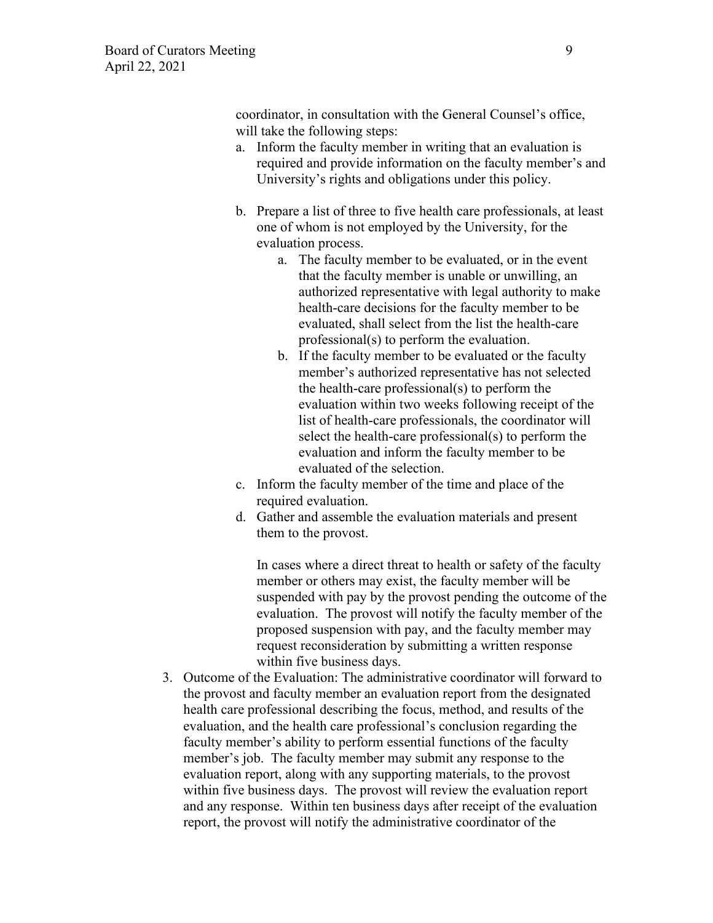coordinator, in consultation with the General Counsel's office, will take the following steps:

- a. Inform the faculty member in writing that an evaluation is required and provide information on the faculty member's and University's rights and obligations under this policy.
- b. Prepare a list of three to five health care professionals, at least one of whom is not employed by the University, for the evaluation process.
	- a. The faculty member to be evaluated, or in the event that the faculty member is unable or unwilling, an authorized representative with legal authority to make health-care decisions for the faculty member to be evaluated, shall select from the list the health-care professional(s) to perform the evaluation.
	- b. If the faculty member to be evaluated or the faculty member's authorized representative has not selected the health-care professional(s) to perform the evaluation within two weeks following receipt of the list of health-care professionals, the coordinator will select the health-care professional(s) to perform the evaluation and inform the faculty member to be evaluated of the selection.
- c. Inform the faculty member of the time and place of the required evaluation.
- d. Gather and assemble the evaluation materials and present them to the provost.

In cases where a direct threat to health or safety of the faculty member or others may exist, the faculty member will be suspended with pay by the provost pending the outcome of the evaluation. The provost will notify the faculty member of the proposed suspension with pay, and the faculty member may request reconsideration by submitting a written response within five business days.

3. Outcome of the Evaluation: The administrative coordinator will forward to the provost and faculty member an evaluation report from the designated health care professional describing the focus, method, and results of the evaluation, and the health care professional's conclusion regarding the faculty member's ability to perform essential functions of the faculty member's job. The faculty member may submit any response to the evaluation report, along with any supporting materials, to the provost within five business days. The provost will review the evaluation report and any response. Within ten business days after receipt of the evaluation report, the provost will notify the administrative coordinator of the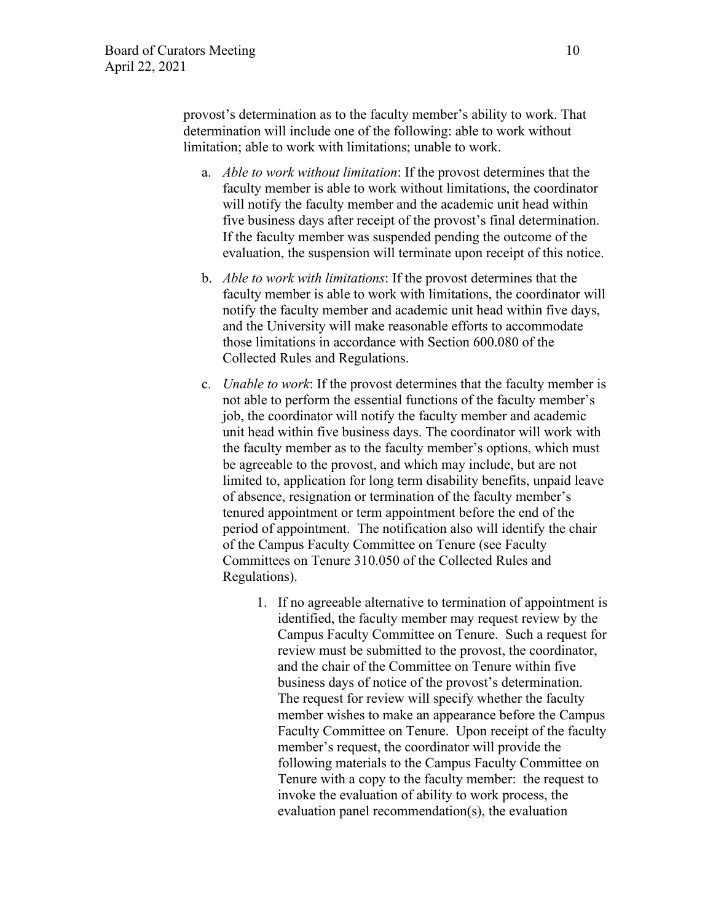provost's determination as to the faculty member's ability to work. That determination will include one of the following: able to work without limitation; able to work with limitations; unable to work.

- a. *Able to work without limitation*: If the provost determines that the faculty member is able to work without limitations, the coordinator will notify the faculty member and the academic unit head within five business days after receipt of the provost's final determination. If the faculty member was suspended pending the outcome of the evaluation, the suspension will terminate upon receipt of this notice.
- b. *Able to work with limitations*: If the provost determines that the faculty member is able to work with limitations, the coordinator will notify the faculty member and academic unit head within five days, and the University will make reasonable efforts to accommodate those limitations in accordance with Section 600.080 of the Collected Rules and Regulations.
- c. *Unable to work*: If the provost determines that the faculty member is not able to perform the essential functions of the faculty member's job, the coordinator will notify the faculty member and academic unit head within five business days. The coordinator will work with the faculty member as to the faculty member's options, which must be agreeable to the provost, and which may include, but are not limited to, application for long term disability benefits, unpaid leave of absence, resignation or termination of the faculty member's tenured appointment or term appointment before the end of the period of appointment.The notification also will identify the chair of the Campus Faculty Committee on Tenure (see Faculty Committees on Tenure 310.050 of the Collected Rules and Regulations).
	- 1. If no agreeable alternative to termination of appointment is identified, the faculty member may request review by the Campus Faculty Committee on Tenure. Such a request for review must be submitted to the provost, the coordinator, and the chair of the Committee on Tenure within five business days of notice of the provost's determination. The request for review will specify whether the faculty member wishes to make an appearance before the Campus Faculty Committee on Tenure. Upon receipt of the faculty member's request, the coordinator will provide the following materials to the Campus Faculty Committee on Tenure with a copy to the faculty member: the request to invoke the evaluation of ability to work process, the evaluation panel recommendation(s), the evaluation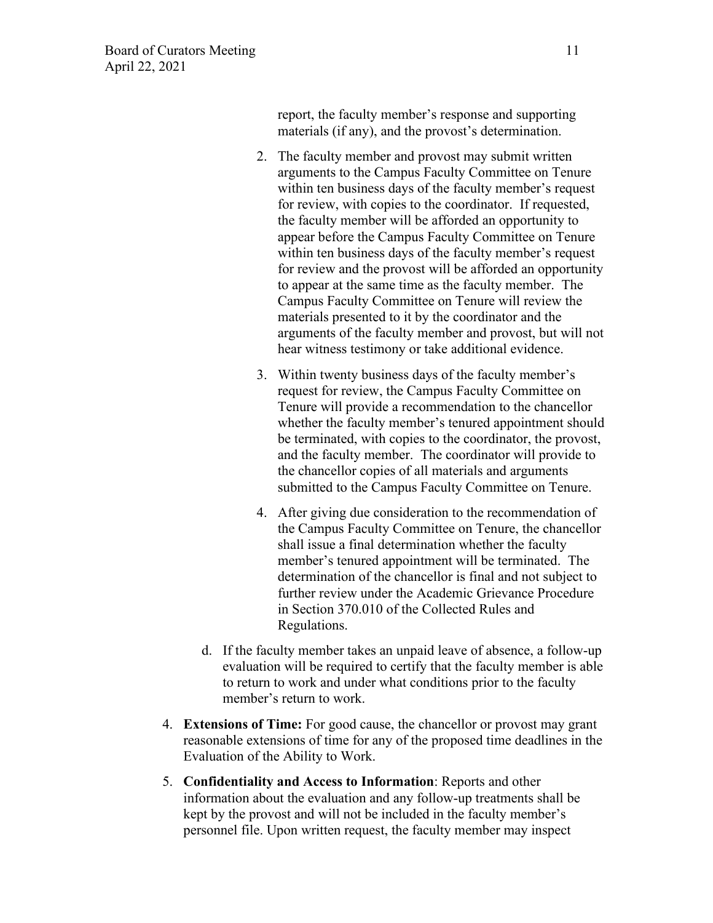report, the faculty member's response and supporting materials (if any), and the provost's determination.

- 2. The faculty member and provost may submit written arguments to the Campus Faculty Committee on Tenure within ten business days of the faculty member's request for review, with copies to the coordinator. If requested, the faculty member will be afforded an opportunity to appear before the Campus Faculty Committee on Tenure within ten business days of the faculty member's request for review and the provost will be afforded an opportunity to appear at the same time as the faculty member. The Campus Faculty Committee on Tenure will review the materials presented to it by the coordinator and the arguments of the faculty member and provost, but will not hear witness testimony or take additional evidence.
- 3. Within twenty business days of the faculty member's request for review, the Campus Faculty Committee on Tenure will provide a recommendation to the chancellor whether the faculty member's tenured appointment should be terminated, with copies to the coordinator, the provost, and the faculty member. The coordinator will provide to the chancellor copies of all materials and arguments submitted to the Campus Faculty Committee on Tenure.
- 4. After giving due consideration to the recommendation of the Campus Faculty Committee on Tenure, the chancellor shall issue a final determination whether the faculty member's tenured appointment will be terminated. The determination of the chancellor is final and not subject to further review under the Academic Grievance Procedure in Section 370.010 of the Collected Rules and Regulations.
- d. If the faculty member takes an unpaid leave of absence, a follow-up evaluation will be required to certify that the faculty member is able to return to work and under what conditions prior to the faculty member's return to work.
- 4. **Extensions of Time:** For good cause, the chancellor or provost may grant reasonable extensions of time for any of the proposed time deadlines in the Evaluation of the Ability to Work.
- 5. **Confidentiality and Access to Information**: Reports and other information about the evaluation and any follow-up treatments shall be kept by the provost and will not be included in the faculty member's personnel file. Upon written request, the faculty member may inspect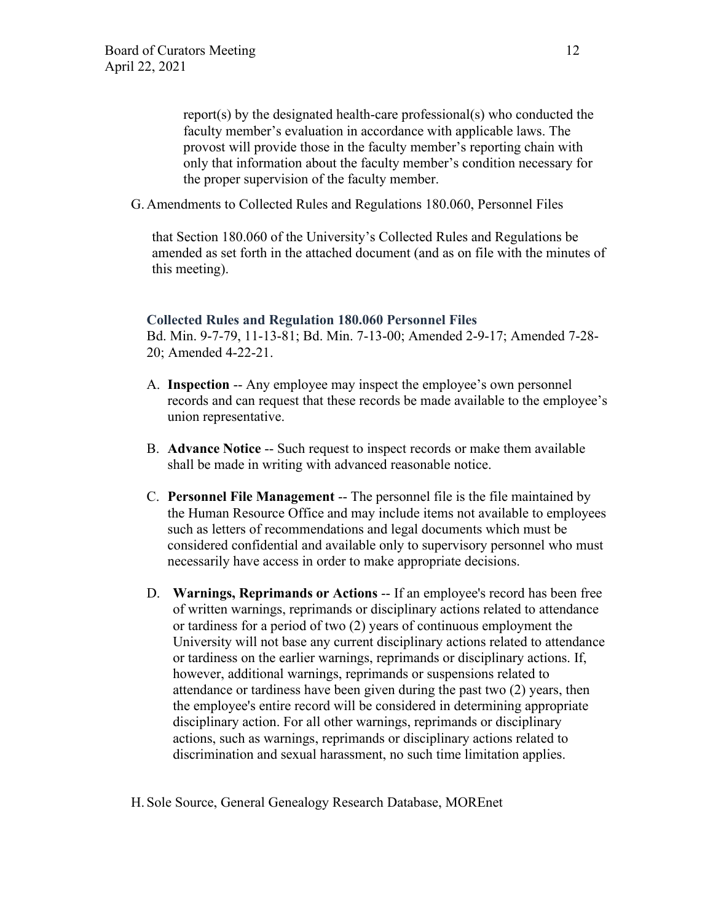report(s) by the designated health-care professional(s) who conducted the faculty member's evaluation in accordance with applicable laws. The provost will provide those in the faculty member's reporting chain with only that information about the faculty member's condition necessary for the proper supervision of the faculty member.

G. Amendments to Collected Rules and Regulations 180.060, Personnel Files

that Section 180.060 of the University's Collected Rules and Regulations be amended as set forth in the attached document (and as on file with the minutes of this meeting).

#### **Collected Rules and Regulation 180.060 Personnel Files**

Bd. Min. 9-7-79, 11-13-81; Bd. Min. 7-13-00; Amended 2-9-17; Amended 7-28- 20; Amended 4-22-21.

- A. **Inspection** -- Any employee may inspect the employee's own personnel records and can request that these records be made available to the employee's union representative.
- B. **Advance Notice** -- Such request to inspect records or make them available shall be made in writing with advanced reasonable notice.
- C. **Personnel File Management** -- The personnel file is the file maintained by the Human Resource Office and may include items not available to employees such as letters of recommendations and legal documents which must be considered confidential and available only to supervisory personnel who must necessarily have access in order to make appropriate decisions.
- D. **Warnings, Reprimands or Actions** -- If an employee's record has been free of written warnings, reprimands or disciplinary actions related to attendance or tardiness for a period of two (2) years of continuous employment the University will not base any current disciplinary actions related to attendance or tardiness on the earlier warnings, reprimands or disciplinary actions. If, however, additional warnings, reprimands or suspensions related to attendance or tardiness have been given during the past two (2) years, then the employee's entire record will be considered in determining appropriate disciplinary action. For all other warnings, reprimands or disciplinary actions, such as warnings, reprimands or disciplinary actions related to discrimination and sexual harassment, no such time limitation applies.

H. Sole Source, General Genealogy Research Database, MOREnet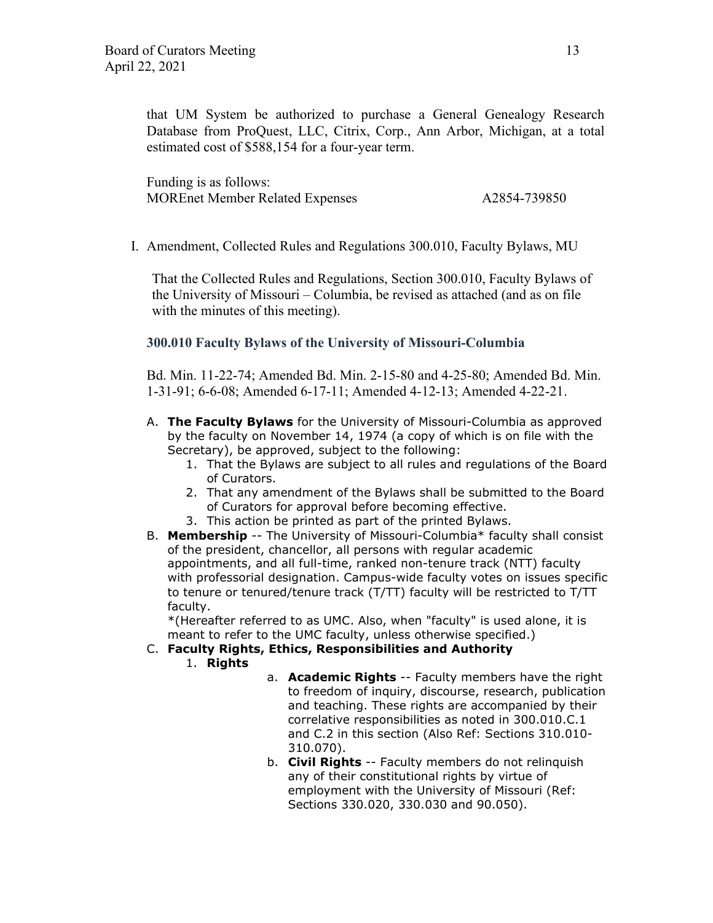that UM System be authorized to purchase a General Genealogy Research Database from ProQuest, LLC, Citrix, Corp., Ann Arbor, Michigan, at a total estimated cost of \$588,154 for a four-year term.

Funding is as follows: MOREnet Member Related Expenses A2854-739850

I. Amendment, Collected Rules and Regulations 300.010, Faculty Bylaws, MU

That the Collected Rules and Regulations, Section 300.010, Faculty Bylaws of the University of Missouri – Columbia, be revised as attached (and as on file with the minutes of this meeting).

## **300.010 Faculty Bylaws of the University of Missouri-Columbia**

Bd. Min. 11-22-74; Amended Bd. Min. 2-15-80 and 4-25-80; Amended Bd. Min. 1-31-91; 6-6-08; Amended 6-17-11; Amended 4-12-13; Amended 4-22-21.

- A. **The Faculty Bylaws** for the University of Missouri-Columbia as approved by the faculty on November 14, 1974 (a copy of which is on file with the Secretary), be approved, subject to the following:
	- 1. That the Bylaws are subject to all rules and regulations of the Board of Curators.
	- 2. That any amendment of the Bylaws shall be submitted to the Board of Curators for approval before becoming effective.
	- 3. This action be printed as part of the printed Bylaws.
- B. **Membership** -- The University of Missouri-Columbia\* faculty shall consist of the president, chancellor, all persons with regular academic appointments, and all full-time, ranked non-tenure track (NTT) faculty with professorial designation. Campus-wide faculty votes on issues specific to tenure or tenured/tenure track (T/TT) faculty will be restricted to T/TT faculty.

\*(Hereafter referred to as UMC. Also, when "faculty" is used alone, it is meant to refer to the UMC faculty, unless otherwise specified.)

#### C. **Faculty Rights, Ethics, Responsibilities and Authority**

- 1. **Rights**
- a. **Academic Rights** -- Faculty members have the right to freedom of inquiry, discourse, research, publication and teaching. These rights are accompanied by their correlative responsibilities as noted in 300.010.C.1 and C.2 in this section (Also Ref: Sections 310.010- 310.070).
- b. **Civil Rights** -- Faculty members do not relinquish any of their constitutional rights by virtue of employment with the University of Missouri (Ref: Sections 330.020, 330.030 and 90.050).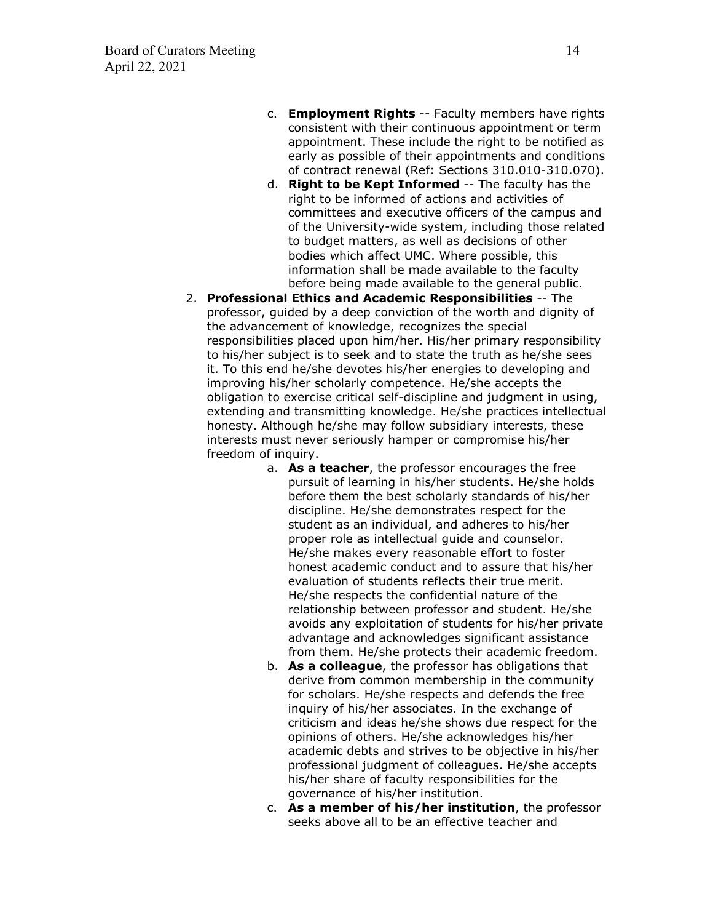- c. **Employment Rights** -- Faculty members have rights consistent with their continuous appointment or term appointment. These include the right to be notified as early as possible of their appointments and conditions of contract renewal (Ref: Sections 310.010-310.070).
- d. **Right to be Kept Informed** -- The faculty has the right to be informed of actions and activities of committees and executive officers of the campus and of the University-wide system, including those related to budget matters, as well as decisions of other bodies which affect UMC. Where possible, this information shall be made available to the faculty before being made available to the general public.
- 2. **Professional Ethics and Academic Responsibilities** -- The professor, guided by a deep conviction of the worth and dignity of the advancement of knowledge, recognizes the special responsibilities placed upon him/her. His/her primary responsibility to his/her subject is to seek and to state the truth as he/she sees it. To this end he/she devotes his/her energies to developing and improving his/her scholarly competence. He/she accepts the obligation to exercise critical self-discipline and judgment in using, extending and transmitting knowledge. He/she practices intellectual honesty. Although he/she may follow subsidiary interests, these interests must never seriously hamper or compromise his/her freedom of inquiry.
	- a. **As a teacher**, the professor encourages the free pursuit of learning in his/her students. He/she holds before them the best scholarly standards of his/her discipline. He/she demonstrates respect for the student as an individual, and adheres to his/her proper role as intellectual guide and counselor. He/she makes every reasonable effort to foster honest academic conduct and to assure that his/her evaluation of students reflects their true merit. He/she respects the confidential nature of the relationship between professor and student. He/she avoids any exploitation of students for his/her private advantage and acknowledges significant assistance from them. He/she protects their academic freedom.
	- b. **As a colleague**, the professor has obligations that derive from common membership in the community for scholars. He/she respects and defends the free inquiry of his/her associates. In the exchange of criticism and ideas he/she shows due respect for the opinions of others. He/she acknowledges his/her academic debts and strives to be objective in his/her professional judgment of colleagues. He/she accepts his/her share of faculty responsibilities for the governance of his/her institution.
	- c. **As a member of his/her institution**, the professor seeks above all to be an effective teacher and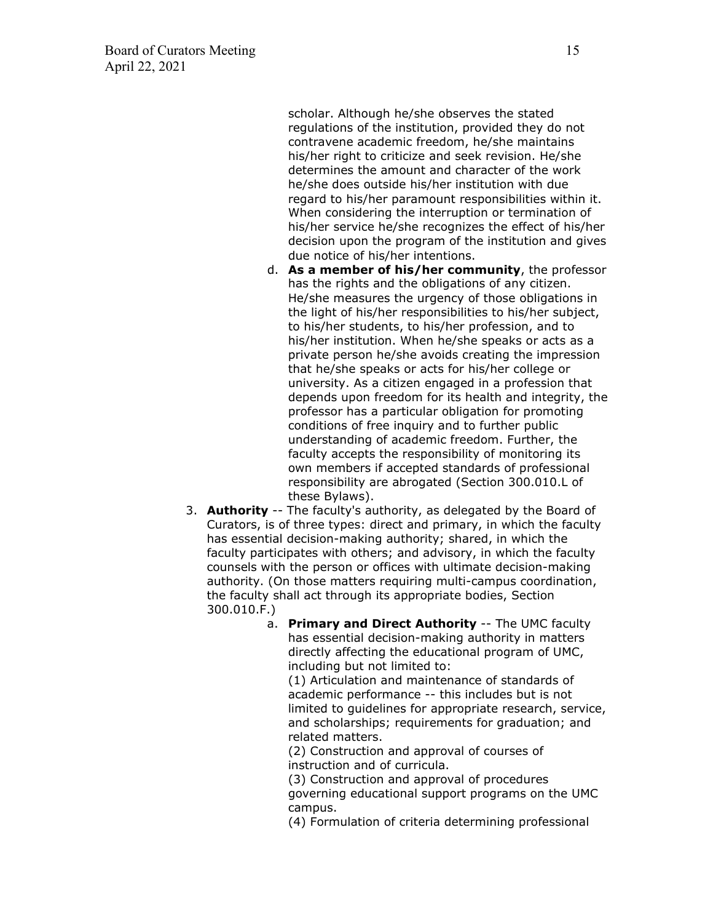scholar. Although he/she observes the stated regulations of the institution, provided they do not contravene academic freedom, he/she maintains his/her right to criticize and seek revision. He/she determines the amount and character of the work he/she does outside his/her institution with due regard to his/her paramount responsibilities within it. When considering the interruption or termination of his/her service he/she recognizes the effect of his/her decision upon the program of the institution and gives due notice of his/her intentions.

- d. **As a member of his/her community**, the professor has the rights and the obligations of any citizen. He/she measures the urgency of those obligations in the light of his/her responsibilities to his/her subject, to his/her students, to his/her profession, and to his/her institution. When he/she speaks or acts as a private person he/she avoids creating the impression that he/she speaks or acts for his/her college or university. As a citizen engaged in a profession that depends upon freedom for its health and integrity, the professor has a particular obligation for promoting conditions of free inquiry and to further public understanding of academic freedom. Further, the faculty accepts the responsibility of monitoring its own members if accepted standards of professional responsibility are abrogated (Section 300.010.L of these Bylaws).
- 3. **Authority** -- The faculty's authority, as delegated by the Board of Curators, is of three types: direct and primary, in which the faculty has essential decision-making authority; shared, in which the faculty participates with others; and advisory, in which the faculty counsels with the person or offices with ultimate decision-making authority. (On those matters requiring multi-campus coordination, the faculty shall act through its appropriate bodies, Section 300.010.F.)
	- a. **Primary and Direct Authority** -- The UMC faculty has essential decision-making authority in matters directly affecting the educational program of UMC, including but not limited to:

(1) Articulation and maintenance of standards of academic performance -- this includes but is not limited to guidelines for appropriate research, service, and scholarships; requirements for graduation; and related matters.

(2) Construction and approval of courses of instruction and of curricula.

(3) Construction and approval of procedures governing educational support programs on the UMC campus.

(4) Formulation of criteria determining professional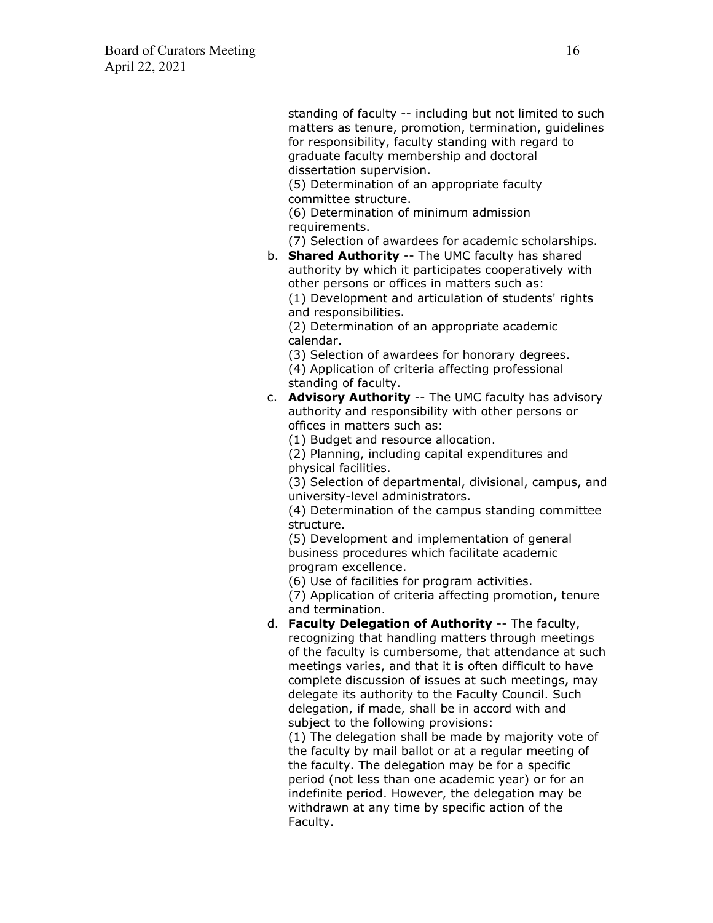standing of faculty -- including but not limited to such matters as tenure, promotion, termination, guidelines for responsibility, faculty standing with regard to graduate faculty membership and doctoral dissertation supervision.

(5) Determination of an appropriate faculty committee structure.

(6) Determination of minimum admission requirements.

(7) Selection of awardees for academic scholarships.

b. **Shared Authority** -- The UMC faculty has shared authority by which it participates cooperatively with other persons or offices in matters such as:

(1) Development and articulation of students' rights and responsibilities.

(2) Determination of an appropriate academic calendar.

(3) Selection of awardees for honorary degrees. (4) Application of criteria affecting professional standing of faculty.

c. **Advisory Authority** -- The UMC faculty has advisory authority and responsibility with other persons or offices in matters such as:

(1) Budget and resource allocation.

(2) Planning, including capital expenditures and physical facilities.

(3) Selection of departmental, divisional, campus, and university-level administrators.

(4) Determination of the campus standing committee structure.

(5) Development and implementation of general business procedures which facilitate academic program excellence.

(6) Use of facilities for program activities.

(7) Application of criteria affecting promotion, tenure and termination.

d. **Faculty Delegation of Authority** -- The faculty, recognizing that handling matters through meetings of the faculty is cumbersome, that attendance at such meetings varies, and that it is often difficult to have complete discussion of issues at such meetings, may delegate its authority to the Faculty Council. Such delegation, if made, shall be in accord with and subject to the following provisions:

(1) The delegation shall be made by majority vote of the faculty by mail ballot or at a regular meeting of the faculty. The delegation may be for a specific period (not less than one academic year) or for an indefinite period. However, the delegation may be withdrawn at any time by specific action of the Faculty.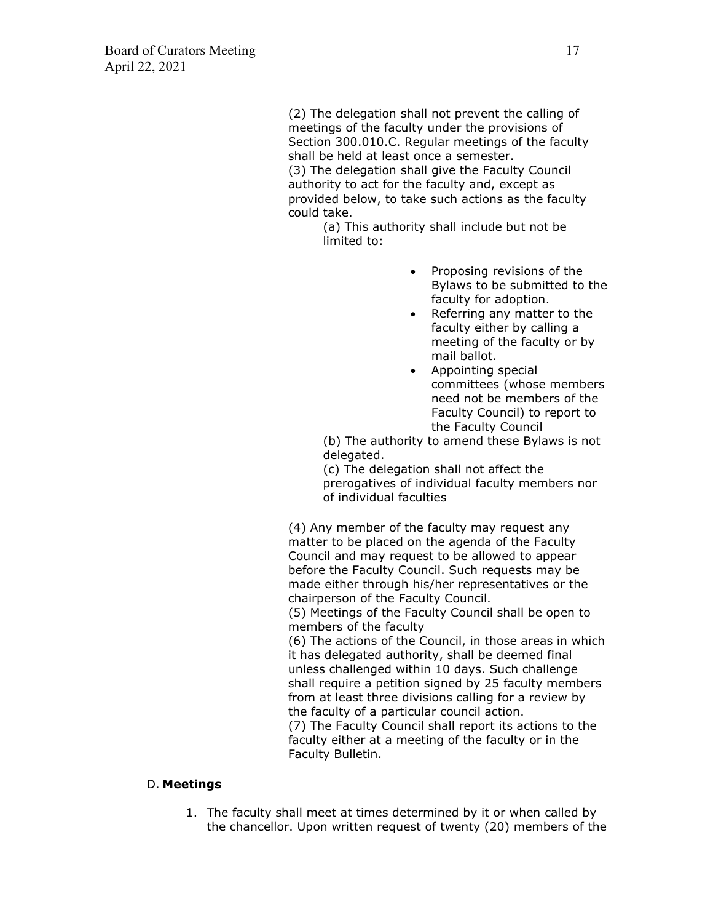(2) The delegation shall not prevent the calling of meetings of the faculty under the provisions of Section 300.010.C. Regular meetings of the faculty shall be held at least once a semester. (3) The delegation shall give the Faculty Council authority to act for the faculty and, except as provided below, to take such actions as the faculty could take.

> (a) This authority shall include but not be limited to:

- Proposing revisions of the Bylaws to be submitted to the faculty for adoption.
- Referring any matter to the faculty either by calling a meeting of the faculty or by mail ballot.
- Appointing special committees (whose members need not be members of the Faculty Council) to report to the Faculty Council

(b) The authority to amend these Bylaws is not delegated.

(c) The delegation shall not affect the prerogatives of individual faculty members nor of individual faculties

(4) Any member of the faculty may request any matter to be placed on the agenda of the Faculty Council and may request to be allowed to appear before the Faculty Council. Such requests may be made either through his/her representatives or the chairperson of the Faculty Council.

(5) Meetings of the Faculty Council shall be open to members of the faculty

(6) The actions of the Council, in those areas in which it has delegated authority, shall be deemed final unless challenged within 10 days. Such challenge shall require a petition signed by 25 faculty members from at least three divisions calling for a review by the faculty of a particular council action.

(7) The Faculty Council shall report its actions to the faculty either at a meeting of the faculty or in the Faculty Bulletin.

## D. **Meetings**

1. The faculty shall meet at times determined by it or when called by the chancellor. Upon written request of twenty (20) members of the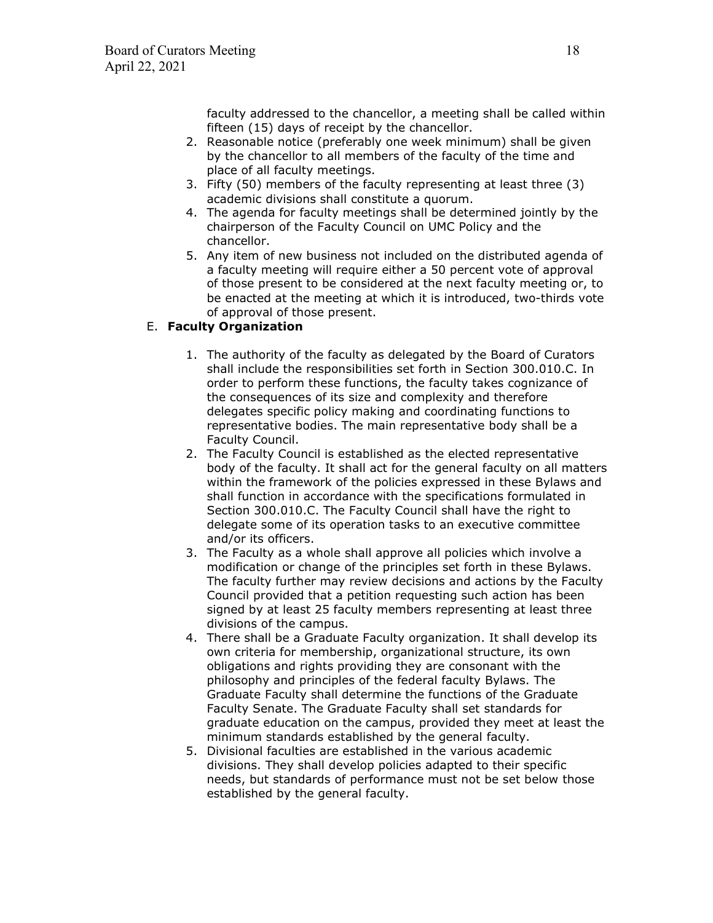faculty addressed to the chancellor, a meeting shall be called within fifteen (15) days of receipt by the chancellor.

- 2. Reasonable notice (preferably one week minimum) shall be given by the chancellor to all members of the faculty of the time and place of all faculty meetings.
- 3. Fifty (50) members of the faculty representing at least three (3) academic divisions shall constitute a quorum.
- 4. The agenda for faculty meetings shall be determined jointly by the chairperson of the Faculty Council on UMC Policy and the chancellor.
- 5. Any item of new business not included on the distributed agenda of a faculty meeting will require either a 50 percent vote of approval of those present to be considered at the next faculty meeting or, to be enacted at the meeting at which it is introduced, two-thirds vote of approval of those present.

# E. **Faculty Organization**

- 1. The authority of the faculty as delegated by the Board of Curators shall include the responsibilities set forth in Section 300.010.C. In order to perform these functions, the faculty takes cognizance of the consequences of its size and complexity and therefore delegates specific policy making and coordinating functions to representative bodies. The main representative body shall be a Faculty Council.
- 2. The Faculty Council is established as the elected representative body of the faculty. It shall act for the general faculty on all matters within the framework of the policies expressed in these Bylaws and shall function in accordance with the specifications formulated in Section 300.010.C. The Faculty Council shall have the right to delegate some of its operation tasks to an executive committee and/or its officers.
- 3. The Faculty as a whole shall approve all policies which involve a modification or change of the principles set forth in these Bylaws. The faculty further may review decisions and actions by the Faculty Council provided that a petition requesting such action has been signed by at least 25 faculty members representing at least three divisions of the campus.
- 4. There shall be a Graduate Faculty organization. It shall develop its own criteria for membership, organizational structure, its own obligations and rights providing they are consonant with the philosophy and principles of the federal faculty Bylaws. The Graduate Faculty shall determine the functions of the Graduate Faculty Senate. The Graduate Faculty shall set standards for graduate education on the campus, provided they meet at least the minimum standards established by the general faculty.
- 5. Divisional faculties are established in the various academic divisions. They shall develop policies adapted to their specific needs, but standards of performance must not be set below those established by the general faculty.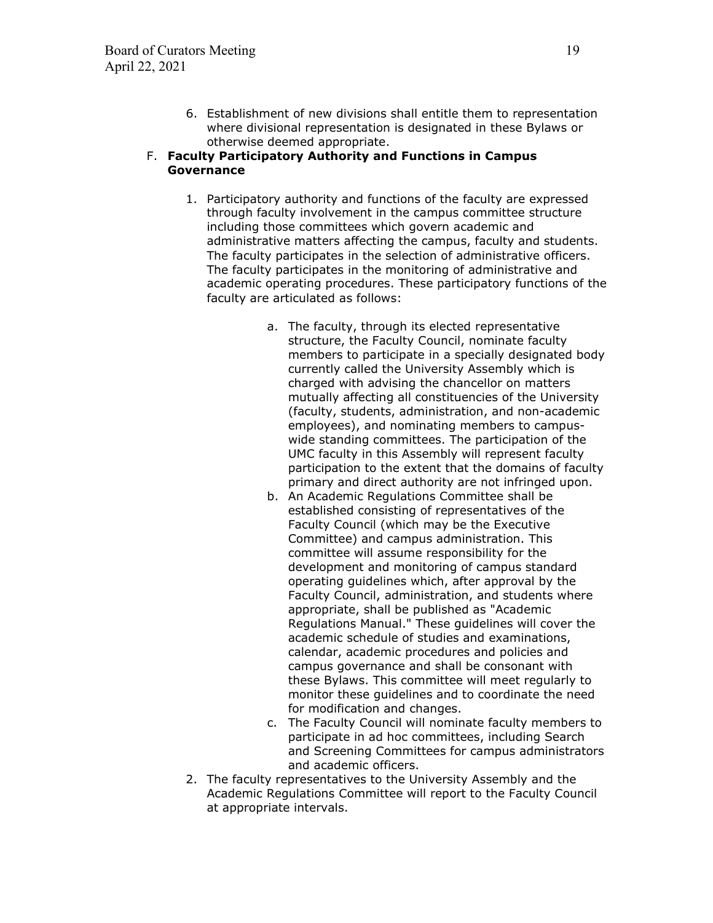6. Establishment of new divisions shall entitle them to representation where divisional representation is designated in these Bylaws or otherwise deemed appropriate.

#### F. **Faculty Participatory Authority and Functions in Campus Governance**

- 1. Participatory authority and functions of the faculty are expressed through faculty involvement in the campus committee structure including those committees which govern academic and administrative matters affecting the campus, faculty and students. The faculty participates in the selection of administrative officers. The faculty participates in the monitoring of administrative and academic operating procedures. These participatory functions of the faculty are articulated as follows:
	- a. The faculty, through its elected representative structure, the Faculty Council, nominate faculty members to participate in a specially designated body currently called the University Assembly which is charged with advising the chancellor on matters mutually affecting all constituencies of the University (faculty, students, administration, and non-academic employees), and nominating members to campuswide standing committees. The participation of the UMC faculty in this Assembly will represent faculty participation to the extent that the domains of faculty primary and direct authority are not infringed upon.
	- b. An Academic Regulations Committee shall be established consisting of representatives of the Faculty Council (which may be the Executive Committee) and campus administration. This committee will assume responsibility for the development and monitoring of campus standard operating guidelines which, after approval by the Faculty Council, administration, and students where appropriate, shall be published as "Academic Regulations Manual." These guidelines will cover the academic schedule of studies and examinations, calendar, academic procedures and policies and campus governance and shall be consonant with these Bylaws. This committee will meet regularly to monitor these guidelines and to coordinate the need for modification and changes.
	- c. The Faculty Council will nominate faculty members to participate in ad hoc committees, including Search and Screening Committees for campus administrators and academic officers.
- 2. The faculty representatives to the University Assembly and the Academic Regulations Committee will report to the Faculty Council at appropriate intervals.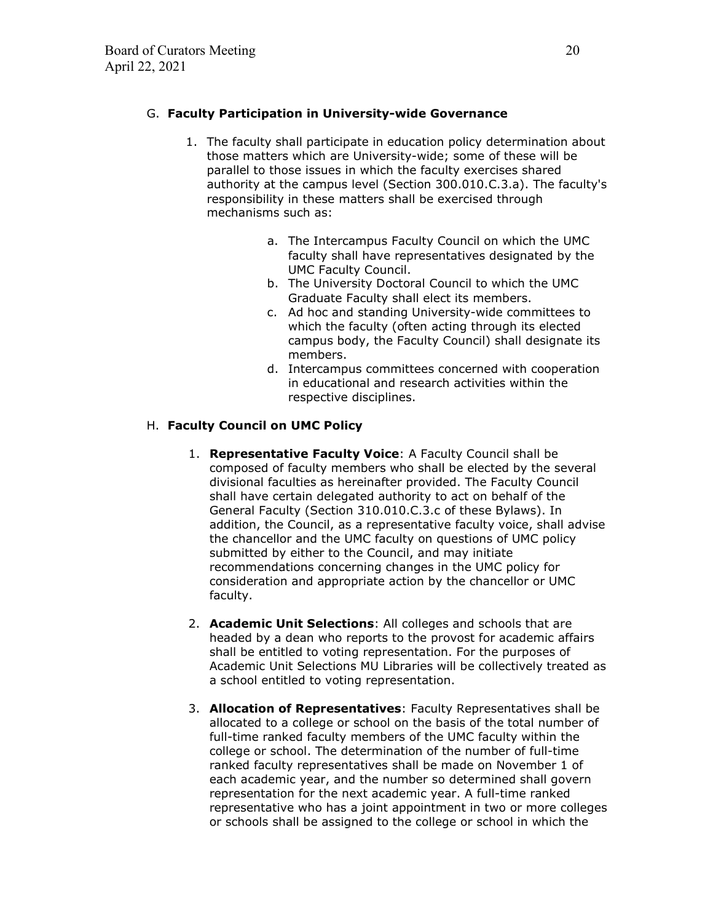### G. **Faculty Participation in University-wide Governance**

- 1. The faculty shall participate in education policy determination about those matters which are University-wide; some of these will be parallel to those issues in which the faculty exercises shared authority at the campus level (Section 300.010.C.3.a). The faculty's responsibility in these matters shall be exercised through mechanisms such as:
	- a. The Intercampus Faculty Council on which the UMC faculty shall have representatives designated by the UMC Faculty Council.
	- b. The University Doctoral Council to which the UMC Graduate Faculty shall elect its members.
	- c. Ad hoc and standing University-wide committees to which the faculty (often acting through its elected campus body, the Faculty Council) shall designate its members.
	- d. Intercampus committees concerned with cooperation in educational and research activities within the respective disciplines.

### H. **Faculty Council on UMC Policy**

- 1. **Representative Faculty Voice**: A Faculty Council shall be composed of faculty members who shall be elected by the several divisional faculties as hereinafter provided. The Faculty Council shall have certain delegated authority to act on behalf of the General Faculty (Section 310.010.C.3.c of these Bylaws). In addition, the Council, as a representative faculty voice, shall advise the chancellor and the UMC faculty on questions of UMC policy submitted by either to the Council, and may initiate recommendations concerning changes in the UMC policy for consideration and appropriate action by the chancellor or UMC faculty.
- 2. **Academic Unit Selections**: All colleges and schools that are headed by a dean who reports to the provost for academic affairs shall be entitled to voting representation. For the purposes of Academic Unit Selections MU Libraries will be collectively treated as a school entitled to voting representation.
- 3. **Allocation of Representatives**: Faculty Representatives shall be allocated to a college or school on the basis of the total number of full-time ranked faculty members of the UMC faculty within the college or school. The determination of the number of full-time ranked faculty representatives shall be made on November 1 of each academic year, and the number so determined shall govern representation for the next academic year. A full-time ranked representative who has a joint appointment in two or more colleges or schools shall be assigned to the college or school in which the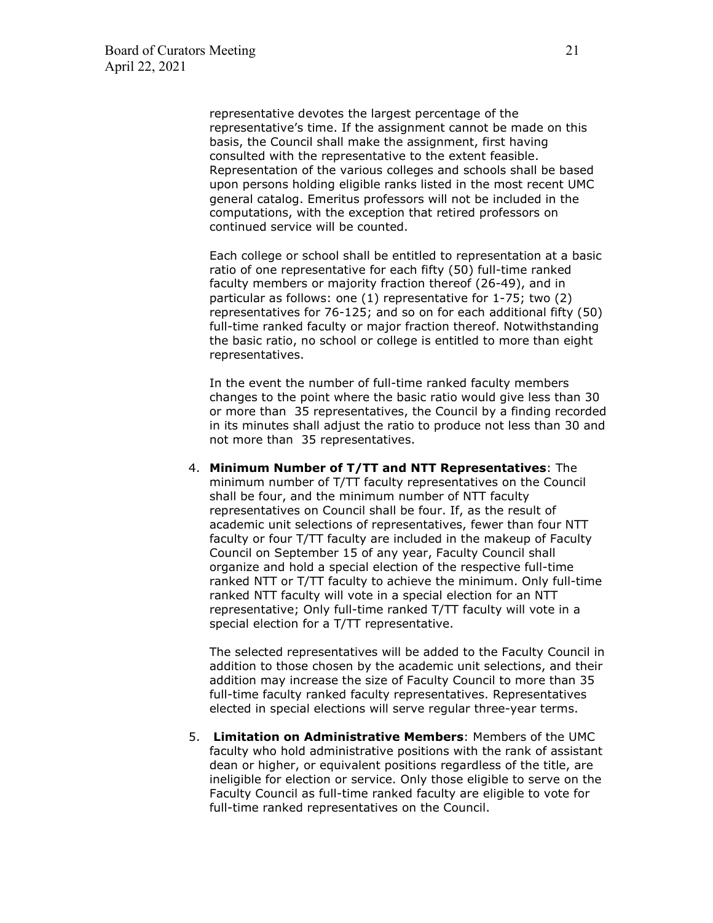representative devotes the largest percentage of the representative's time. If the assignment cannot be made on this basis, the Council shall make the assignment, first having consulted with the representative to the extent feasible. Representation of the various colleges and schools shall be based upon persons holding eligible ranks listed in the most recent UMC general catalog. Emeritus professors will not be included in the computations, with the exception that retired professors on continued service will be counted.

Each college or school shall be entitled to representation at a basic ratio of one representative for each fifty (50) full-time ranked faculty members or majority fraction thereof (26-49), and in particular as follows: one (1) representative for 1-75; two (2) representatives for 76-125; and so on for each additional fifty (50) full-time ranked faculty or major fraction thereof. Notwithstanding the basic ratio, no school or college is entitled to more than eight representatives.

In the event the number of full-time ranked faculty members changes to the point where the basic ratio would give less than 30 or more than 35 representatives, the Council by a finding recorded in its minutes shall adjust the ratio to produce not less than 30 and not more than 35 representatives.

4. **Minimum Number of T/TT and NTT Representatives**: The minimum number of T/TT faculty representatives on the Council shall be four, and the minimum number of NTT faculty representatives on Council shall be four. If, as the result of academic unit selections of representatives, fewer than four NTT faculty or four T/TT faculty are included in the makeup of Faculty Council on September 15 of any year, Faculty Council shall organize and hold a special election of the respective full-time ranked NTT or T/TT faculty to achieve the minimum. Only full-time ranked NTT faculty will vote in a special election for an NTT representative; Only full-time ranked T/TT faculty will vote in a special election for a T/TT representative.

The selected representatives will be added to the Faculty Council in addition to those chosen by the academic unit selections, and their addition may increase the size of Faculty Council to more than 35 full-time faculty ranked faculty representatives. Representatives elected in special elections will serve regular three-year terms.

5. **Limitation on Administrative Members**: Members of the UMC faculty who hold administrative positions with the rank of assistant dean or higher, or equivalent positions regardless of the title, are ineligible for election or service. Only those eligible to serve on the Faculty Council as full-time ranked faculty are eligible to vote for full-time ranked representatives on the Council.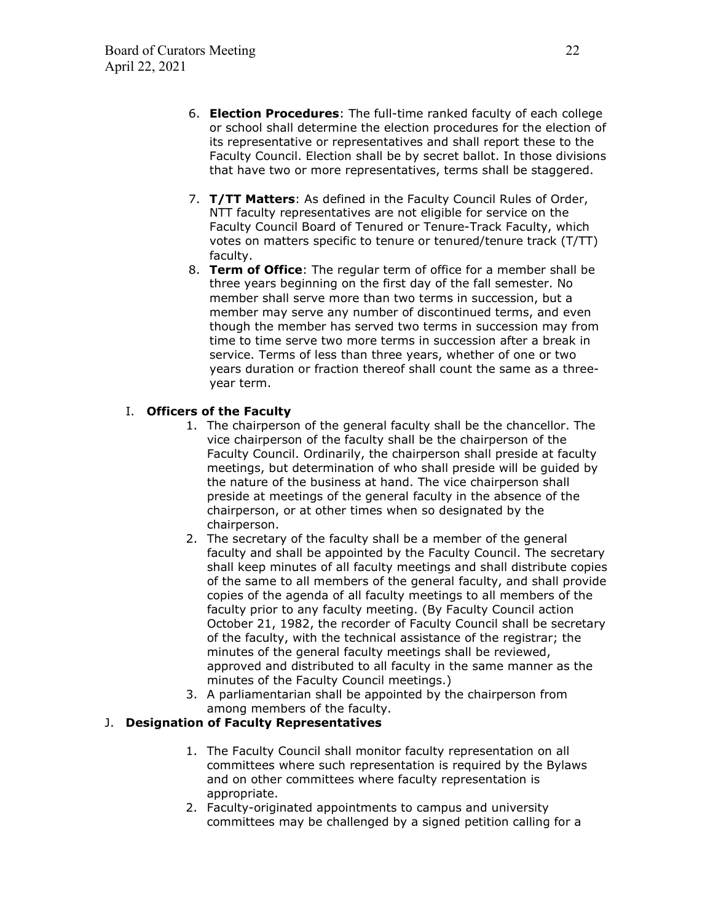- 6. **Election Procedures**: The full-time ranked faculty of each college or school shall determine the election procedures for the election of its representative or representatives and shall report these to the Faculty Council. Election shall be by secret ballot. In those divisions that have two or more representatives, terms shall be staggered.
- 7. **T/TT Matters**: As defined in the Faculty Council Rules of Order, NTT faculty representatives are not eligible for service on the Faculty Council Board of Tenured or Tenure-Track Faculty, which votes on matters specific to tenure or tenured/tenure track (T/TT) faculty.
- 8. **Term of Office**: The regular term of office for a member shall be three years beginning on the first day of the fall semester. No member shall serve more than two terms in succession, but a member may serve any number of discontinued terms, and even though the member has served two terms in succession may from time to time serve two more terms in succession after a break in service. Terms of less than three years, whether of one or two years duration or fraction thereof shall count the same as a threeyear term.

### I. **Officers of the Faculty**

- 1. The chairperson of the general faculty shall be the chancellor. The vice chairperson of the faculty shall be the chairperson of the Faculty Council. Ordinarily, the chairperson shall preside at faculty meetings, but determination of who shall preside will be guided by the nature of the business at hand. The vice chairperson shall preside at meetings of the general faculty in the absence of the chairperson, or at other times when so designated by the chairperson.
- 2. The secretary of the faculty shall be a member of the general faculty and shall be appointed by the Faculty Council. The secretary shall keep minutes of all faculty meetings and shall distribute copies of the same to all members of the general faculty, and shall provide copies of the agenda of all faculty meetings to all members of the faculty prior to any faculty meeting. (By Faculty Council action October 21, 1982, the recorder of Faculty Council shall be secretary of the faculty, with the technical assistance of the registrar; the minutes of the general faculty meetings shall be reviewed, approved and distributed to all faculty in the same manner as the minutes of the Faculty Council meetings.)
- 3. A parliamentarian shall be appointed by the chairperson from among members of the faculty.

#### J. **Designation of Faculty Representatives**

- 1. The Faculty Council shall monitor faculty representation on all committees where such representation is required by the Bylaws and on other committees where faculty representation is appropriate.
- 2. Faculty-originated appointments to campus and university committees may be challenged by a signed petition calling for a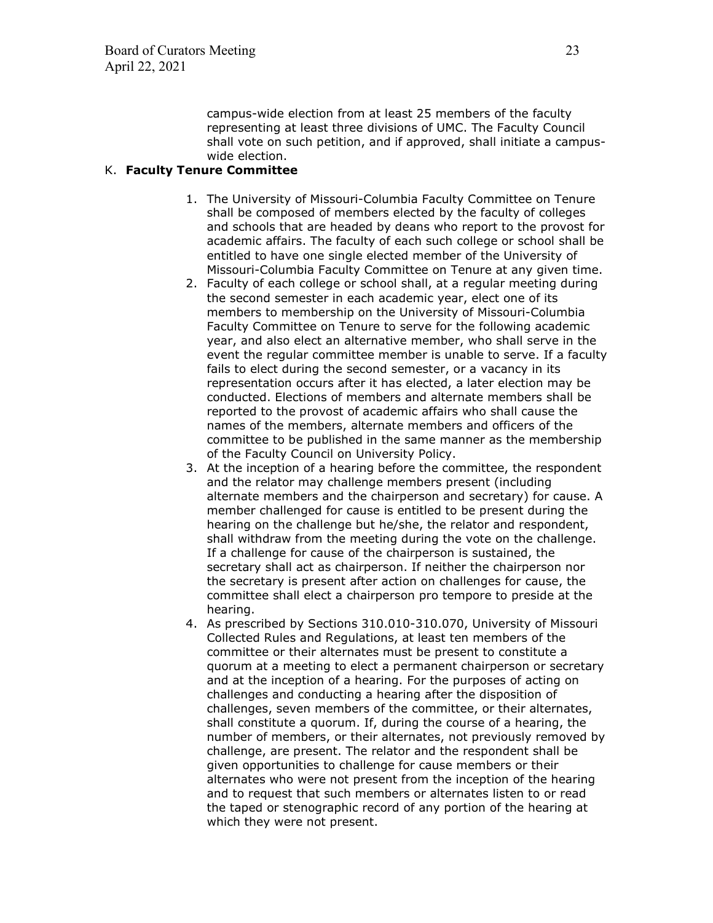campus-wide election from at least 25 members of the faculty representing at least three divisions of UMC. The Faculty Council shall vote on such petition, and if approved, shall initiate a campuswide election.

#### K. **Faculty Tenure Committee**

- 1. The University of Missouri-Columbia Faculty Committee on Tenure shall be composed of members elected by the faculty of colleges and schools that are headed by deans who report to the provost for academic affairs. The faculty of each such college or school shall be entitled to have one single elected member of the University of Missouri-Columbia Faculty Committee on Tenure at any given time.
- 2. Faculty of each college or school shall, at a regular meeting during the second semester in each academic year, elect one of its members to membership on the University of Missouri-Columbia Faculty Committee on Tenure to serve for the following academic year, and also elect an alternative member, who shall serve in the event the regular committee member is unable to serve. If a faculty fails to elect during the second semester, or a vacancy in its representation occurs after it has elected, a later election may be conducted. Elections of members and alternate members shall be reported to the provost of academic affairs who shall cause the names of the members, alternate members and officers of the committee to be published in the same manner as the membership of the Faculty Council on University Policy.
- 3. At the inception of a hearing before the committee, the respondent and the relator may challenge members present (including alternate members and the chairperson and secretary) for cause. A member challenged for cause is entitled to be present during the hearing on the challenge but he/she, the relator and respondent, shall withdraw from the meeting during the vote on the challenge. If a challenge for cause of the chairperson is sustained, the secretary shall act as chairperson. If neither the chairperson nor the secretary is present after action on challenges for cause, the committee shall elect a chairperson pro tempore to preside at the hearing.
- 4. As prescribed by Sections 310.010-310.070, University of Missouri Collected Rules and Regulations, at least ten members of the committee or their alternates must be present to constitute a quorum at a meeting to elect a permanent chairperson or secretary and at the inception of a hearing. For the purposes of acting on challenges and conducting a hearing after the disposition of challenges, seven members of the committee, or their alternates, shall constitute a quorum. If, during the course of a hearing, the number of members, or their alternates, not previously removed by challenge, are present. The relator and the respondent shall be given opportunities to challenge for cause members or their alternates who were not present from the inception of the hearing and to request that such members or alternates listen to or read the taped or stenographic record of any portion of the hearing at which they were not present.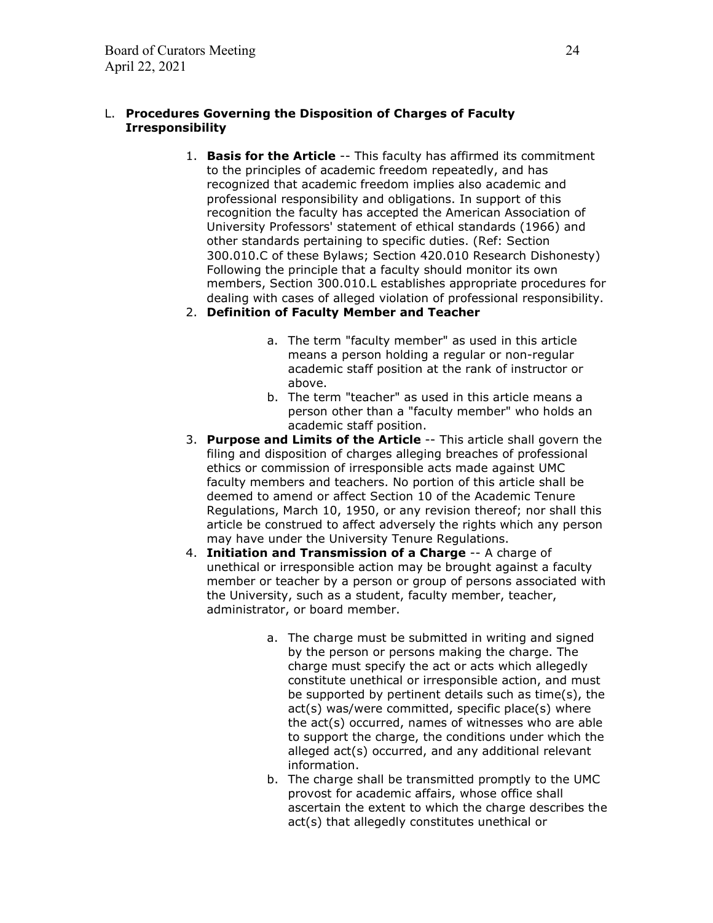### L. **Procedures Governing the Disposition of Charges of Faculty Irresponsibility**

1. **Basis for the Article** -- This faculty has affirmed its commitment to the principles of academic freedom repeatedly, and has recognized that academic freedom implies also academic and professional responsibility and obligations. In support of this recognition the faculty has accepted the American Association of University Professors' statement of ethical standards (1966) and other standards pertaining to specific duties. (Ref: Section 300.010.C of these Bylaws; Section 420.010 Research Dishonesty) Following the principle that a faculty should monitor its own members, Section 300.010.L establishes appropriate procedures for dealing with cases of alleged violation of professional responsibility.

### 2. **Definition of Faculty Member and Teacher**

- a. The term "faculty member" as used in this article means a person holding a regular or non-regular academic staff position at the rank of instructor or above.
- b. The term "teacher" as used in this article means a person other than a "faculty member" who holds an academic staff position.
- 3. **Purpose and Limits of the Article** -- This article shall govern the filing and disposition of charges alleging breaches of professional ethics or commission of irresponsible acts made against UMC faculty members and teachers. No portion of this article shall be deemed to amend or affect Section 10 of the Academic Tenure Regulations, March 10, 1950, or any revision thereof; nor shall this article be construed to affect adversely the rights which any person may have under the University Tenure Regulations.
- 4. **Initiation and Transmission of a Charge** -- A charge of unethical or irresponsible action may be brought against a faculty member or teacher by a person or group of persons associated with the University, such as a student, faculty member, teacher, administrator, or board member.
	- a. The charge must be submitted in writing and signed by the person or persons making the charge. The charge must specify the act or acts which allegedly constitute unethical or irresponsible action, and must be supported by pertinent details such as time(s), the act(s) was/were committed, specific place(s) where the act(s) occurred, names of witnesses who are able to support the charge, the conditions under which the alleged act(s) occurred, and any additional relevant information.
	- b. The charge shall be transmitted promptly to the UMC provost for academic affairs, whose office shall ascertain the extent to which the charge describes the act(s) that allegedly constitutes unethical or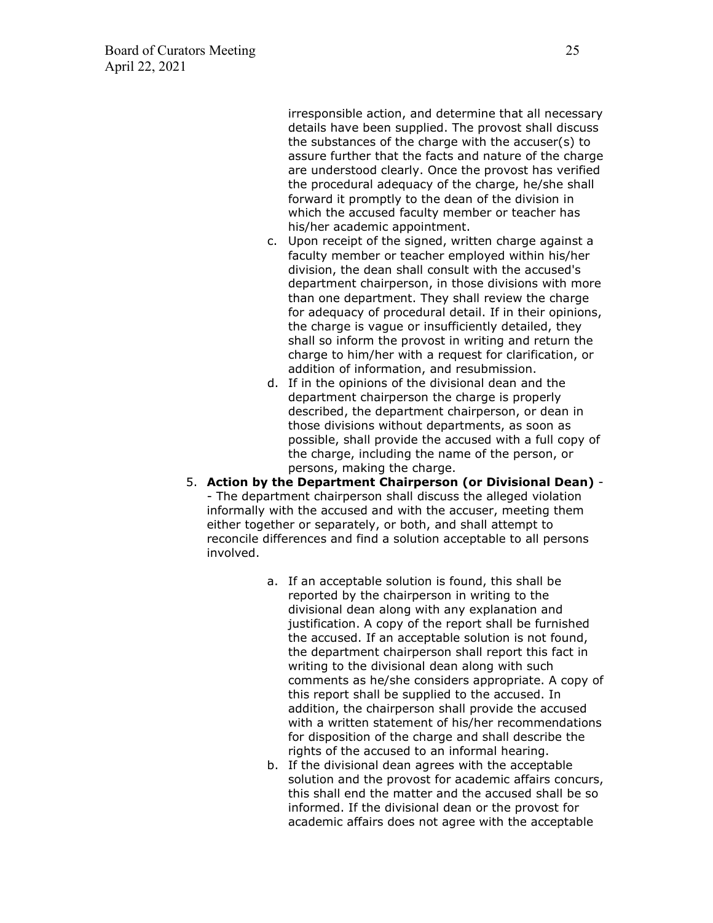irresponsible action, and determine that all necessary details have been supplied. The provost shall discuss the substances of the charge with the accuser(s) to assure further that the facts and nature of the charge are understood clearly. Once the provost has verified the procedural adequacy of the charge, he/she shall forward it promptly to the dean of the division in which the accused faculty member or teacher has his/her academic appointment.

- c. Upon receipt of the signed, written charge against a faculty member or teacher employed within his/her division, the dean shall consult with the accused's department chairperson, in those divisions with more than one department. They shall review the charge for adequacy of procedural detail. If in their opinions, the charge is vague or insufficiently detailed, they shall so inform the provost in writing and return the charge to him/her with a request for clarification, or addition of information, and resubmission.
- d. If in the opinions of the divisional dean and the department chairperson the charge is properly described, the department chairperson, or dean in those divisions without departments, as soon as possible, shall provide the accused with a full copy of the charge, including the name of the person, or persons, making the charge.
- 5. **Action by the Department Chairperson (or Divisional Dean)** - The department chairperson shall discuss the alleged violation informally with the accused and with the accuser, meeting them either together or separately, or both, and shall attempt to reconcile differences and find a solution acceptable to all persons involved.
	- a. If an acceptable solution is found, this shall be reported by the chairperson in writing to the divisional dean along with any explanation and justification. A copy of the report shall be furnished the accused. If an acceptable solution is not found, the department chairperson shall report this fact in writing to the divisional dean along with such comments as he/she considers appropriate. A copy of this report shall be supplied to the accused. In addition, the chairperson shall provide the accused with a written statement of his/her recommendations for disposition of the charge and shall describe the rights of the accused to an informal hearing.
	- b. If the divisional dean agrees with the acceptable solution and the provost for academic affairs concurs, this shall end the matter and the accused shall be so informed. If the divisional dean or the provost for academic affairs does not agree with the acceptable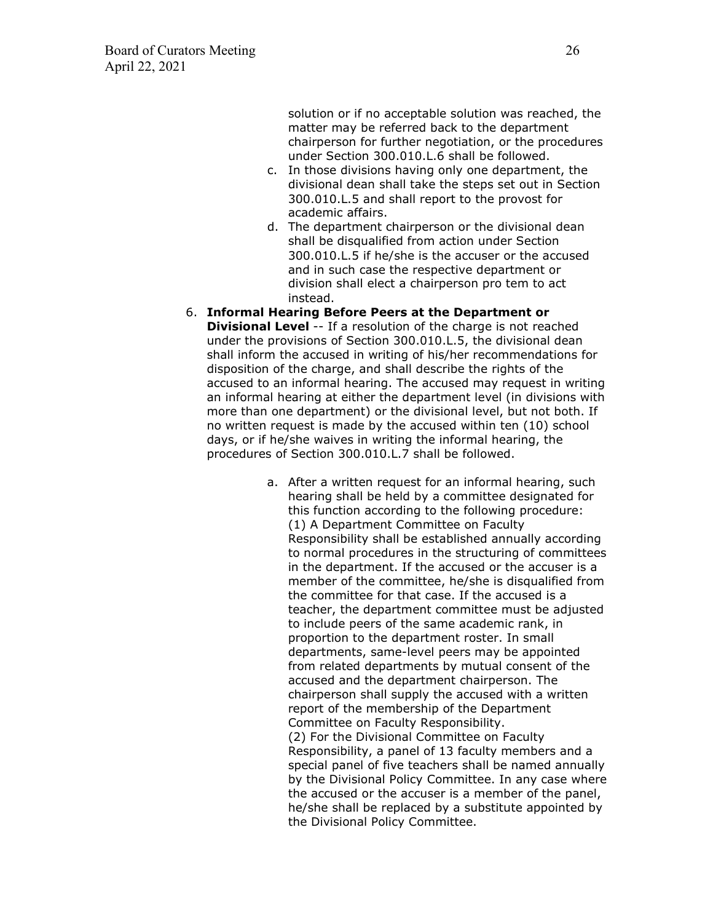solution or if no acceptable solution was reached, the matter may be referred back to the department chairperson for further negotiation, or the procedures under Section 300.010.L.6 shall be followed.

- c. In those divisions having only one department, the divisional dean shall take the steps set out in Section 300.010.L.5 and shall report to the provost for academic affairs.
- d. The department chairperson or the divisional dean shall be disqualified from action under Section 300.010.L.5 if he/she is the accuser or the accused and in such case the respective department or division shall elect a chairperson pro tem to act instead.
- 6. **Informal Hearing Before Peers at the Department or Divisional Level** -- If a resolution of the charge is not reached under the provisions of Section 300.010.L.5, the divisional dean shall inform the accused in writing of his/her recommendations for disposition of the charge, and shall describe the rights of the accused to an informal hearing. The accused may request in writing an informal hearing at either the department level (in divisions with more than one department) or the divisional level, but not both. If no written request is made by the accused within ten (10) school days, or if he/she waives in writing the informal hearing, the procedures of Section 300.010.L.7 shall be followed.
	- a. After a written request for an informal hearing, such hearing shall be held by a committee designated for this function according to the following procedure: (1) A Department Committee on Faculty Responsibility shall be established annually according to normal procedures in the structuring of committees in the department. If the accused or the accuser is a member of the committee, he/she is disqualified from the committee for that case. If the accused is a teacher, the department committee must be adjusted to include peers of the same academic rank, in proportion to the department roster. In small departments, same-level peers may be appointed from related departments by mutual consent of the accused and the department chairperson. The chairperson shall supply the accused with a written report of the membership of the Department Committee on Faculty Responsibility. (2) For the Divisional Committee on Faculty Responsibility, a panel of 13 faculty members and a special panel of five teachers shall be named annually by the Divisional Policy Committee. In any case where the accused or the accuser is a member of the panel, he/she shall be replaced by a substitute appointed by the Divisional Policy Committee.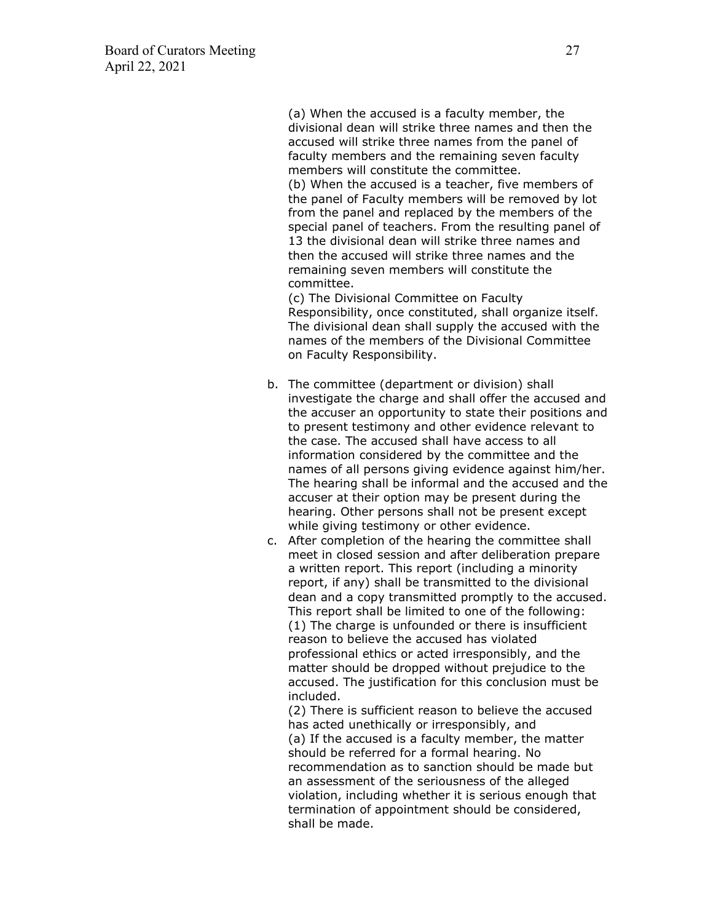(a) When the accused is a faculty member, the divisional dean will strike three names and then the accused will strike three names from the panel of faculty members and the remaining seven faculty members will constitute the committee. (b) When the accused is a teacher, five members of the panel of Faculty members will be removed by lot from the panel and replaced by the members of the special panel of teachers. From the resulting panel of 13 the divisional dean will strike three names and then the accused will strike three names and the remaining seven members will constitute the committee.

(c) The Divisional Committee on Faculty Responsibility, once constituted, shall organize itself. The divisional dean shall supply the accused with the names of the members of the Divisional Committee on Faculty Responsibility.

- b. The committee (department or division) shall investigate the charge and shall offer the accused and the accuser an opportunity to state their positions and to present testimony and other evidence relevant to the case. The accused shall have access to all information considered by the committee and the names of all persons giving evidence against him/her. The hearing shall be informal and the accused and the accuser at their option may be present during the hearing. Other persons shall not be present except while giving testimony or other evidence.
- c. After completion of the hearing the committee shall meet in closed session and after deliberation prepare a written report. This report (including a minority report, if any) shall be transmitted to the divisional dean and a copy transmitted promptly to the accused. This report shall be limited to one of the following: (1) The charge is unfounded or there is insufficient reason to believe the accused has violated professional ethics or acted irresponsibly, and the matter should be dropped without prejudice to the accused. The justification for this conclusion must be included.

(2) There is sufficient reason to believe the accused has acted unethically or irresponsibly, and (a) If the accused is a faculty member, the matter should be referred for a formal hearing. No recommendation as to sanction should be made but an assessment of the seriousness of the alleged violation, including whether it is serious enough that termination of appointment should be considered, shall be made.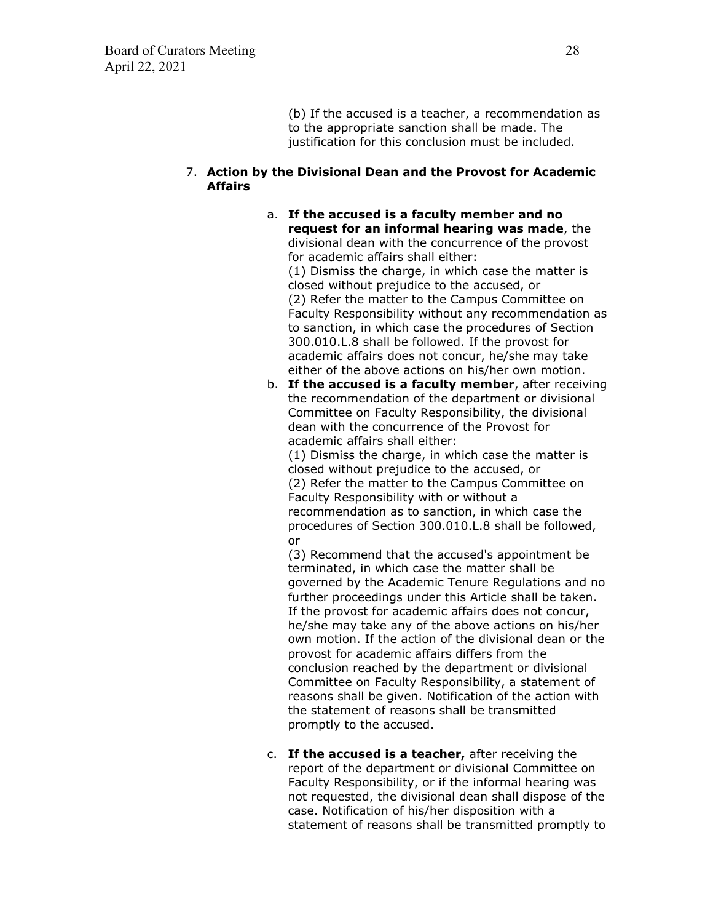(b) If the accused is a teacher, a recommendation as to the appropriate sanction shall be made. The justification for this conclusion must be included.

#### 7. **Action by the Divisional Dean and the Provost for Academic Affairs**

a. **If the accused is a faculty member and no request for an informal hearing was made**, the divisional dean with the concurrence of the provost for academic affairs shall either: (1) Dismiss the charge, in which case the matter is closed without prejudice to the accused, or (2) Refer the matter to the Campus Committee on Faculty Responsibility without any recommendation as to sanction, in which case the procedures of Section 300.010.L.8 shall be followed. If the provost for academic affairs does not concur, he/she may take either of the above actions on his/her own motion.

b. **If the accused is a faculty member**, after receiving the recommendation of the department or divisional Committee on Faculty Responsibility, the divisional dean with the concurrence of the Provost for academic affairs shall either:

(1) Dismiss the charge, in which case the matter is closed without prejudice to the accused, or (2) Refer the matter to the Campus Committee on Faculty Responsibility with or without a recommendation as to sanction, in which case the procedures of Section 300.010.L.8 shall be followed, or

(3) Recommend that the accused's appointment be terminated, in which case the matter shall be governed by the Academic Tenure Regulations and no further proceedings under this Article shall be taken. If the provost for academic affairs does not concur, he/she may take any of the above actions on his/her own motion. If the action of the divisional dean or the provost for academic affairs differs from the conclusion reached by the department or divisional Committee on Faculty Responsibility, a statement of reasons shall be given. Notification of the action with the statement of reasons shall be transmitted promptly to the accused.

c. **If the accused is a teacher,** after receiving the report of the department or divisional Committee on Faculty Responsibility, or if the informal hearing was not requested, the divisional dean shall dispose of the case. Notification of his/her disposition with a statement of reasons shall be transmitted promptly to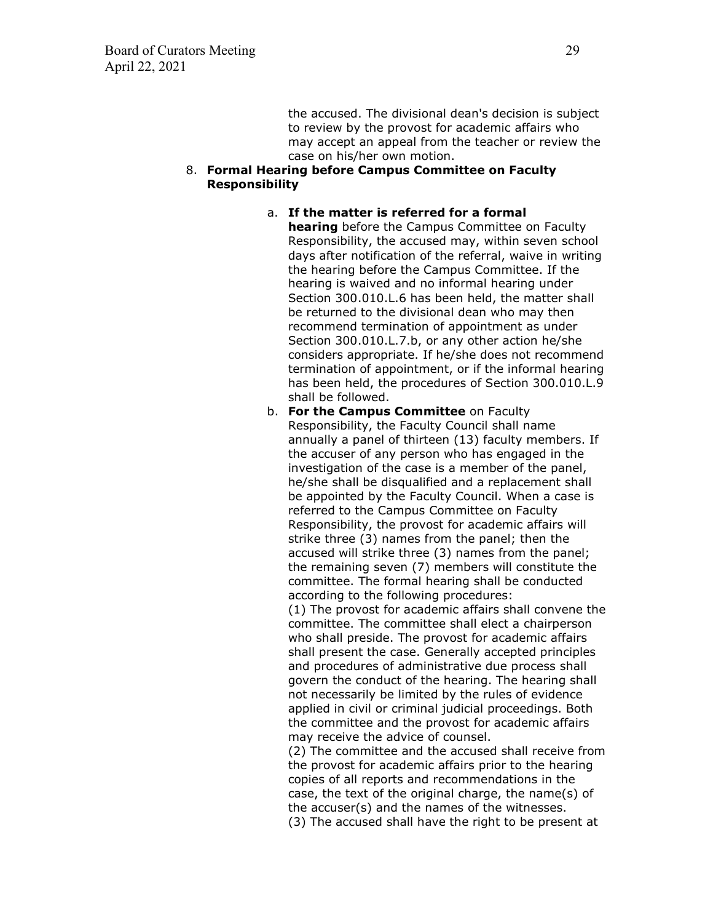the accused. The divisional dean's decision is subject to review by the provost for academic affairs who may accept an appeal from the teacher or review the case on his/her own motion.

#### 8. **Formal Hearing before Campus Committee on Faculty Responsibility**

#### a. **If the matter is referred for a formal hearing** before the Campus Committee on Faculty Responsibility, the accused may, within seven school days after notification of the referral, waive in writing the hearing before the Campus Committee. If the hearing is waived and no informal hearing under Section 300.010.L.6 has been held, the matter shall be returned to the divisional dean who may then recommend termination of appointment as under Section 300.010.L.7.b, or any other action he/she considers appropriate. If he/she does not recommend termination of appointment, or if the informal hearing has been held, the procedures of Section 300.010.L.9 shall be followed.

b. **For the Campus Committee** on Faculty Responsibility, the Faculty Council shall name annually a panel of thirteen (13) faculty members. If the accuser of any person who has engaged in the investigation of the case is a member of the panel, he/she shall be disqualified and a replacement shall be appointed by the Faculty Council. When a case is referred to the Campus Committee on Faculty Responsibility, the provost for academic affairs will strike three (3) names from the panel; then the accused will strike three (3) names from the panel; the remaining seven (7) members will constitute the committee. The formal hearing shall be conducted according to the following procedures:

(1) The provost for academic affairs shall convene the committee. The committee shall elect a chairperson who shall preside. The provost for academic affairs shall present the case. Generally accepted principles and procedures of administrative due process shall govern the conduct of the hearing. The hearing shall not necessarily be limited by the rules of evidence applied in civil or criminal judicial proceedings. Both the committee and the provost for academic affairs may receive the advice of counsel.

(2) The committee and the accused shall receive from the provost for academic affairs prior to the hearing copies of all reports and recommendations in the case, the text of the original charge, the name(s) of the accuser(s) and the names of the witnesses. (3) The accused shall have the right to be present at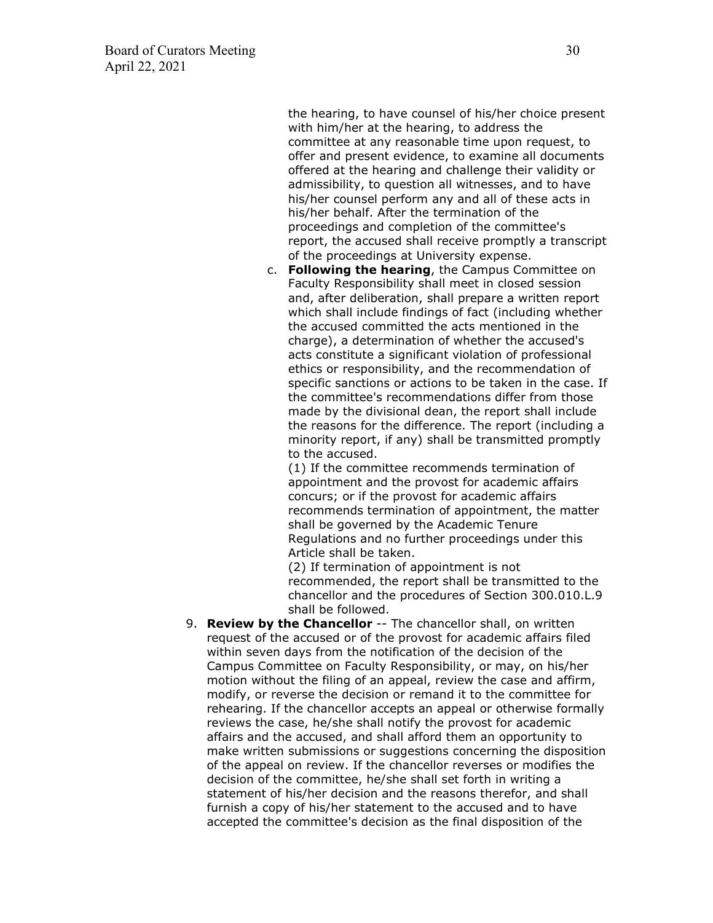the hearing, to have counsel of his/her choice present with him/her at the hearing, to address the committee at any reasonable time upon request, to offer and present evidence, to examine all documents offered at the hearing and challenge their validity or admissibility, to question all witnesses, and to have his/her counsel perform any and all of these acts in his/her behalf. After the termination of the proceedings and completion of the committee's report, the accused shall receive promptly a transcript of the proceedings at University expense.

c. **Following the hearing**, the Campus Committee on Faculty Responsibility shall meet in closed session and, after deliberation, shall prepare a written report which shall include findings of fact (including whether the accused committed the acts mentioned in the charge), a determination of whether the accused's acts constitute a significant violation of professional ethics or responsibility, and the recommendation of specific sanctions or actions to be taken in the case. If the committee's recommendations differ from those made by the divisional dean, the report shall include the reasons for the difference. The report (including a minority report, if any) shall be transmitted promptly to the accused.

(1) If the committee recommends termination of appointment and the provost for academic affairs concurs; or if the provost for academic affairs recommends termination of appointment, the matter shall be governed by the Academic Tenure Regulations and no further proceedings under this Article shall be taken.

(2) If termination of appointment is not recommended, the report shall be transmitted to the chancellor and the procedures of Section 300.010.L.9 shall be followed.

9. **Review by the Chancellor** -- The chancellor shall, on written request of the accused or of the provost for academic affairs filed within seven days from the notification of the decision of the Campus Committee on Faculty Responsibility, or may, on his/her motion without the filing of an appeal, review the case and affirm, modify, or reverse the decision or remand it to the committee for rehearing. If the chancellor accepts an appeal or otherwise formally reviews the case, he/she shall notify the provost for academic affairs and the accused, and shall afford them an opportunity to make written submissions or suggestions concerning the disposition of the appeal on review. If the chancellor reverses or modifies the decision of the committee, he/she shall set forth in writing a statement of his/her decision and the reasons therefor, and shall furnish a copy of his/her statement to the accused and to have accepted the committee's decision as the final disposition of the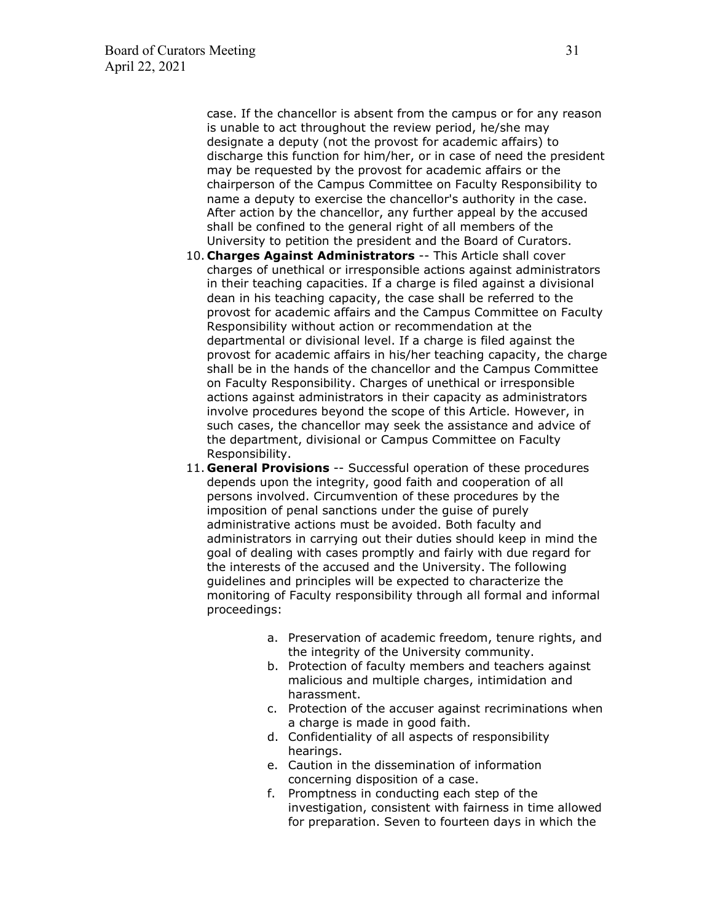case. If the chancellor is absent from the campus or for any reason is unable to act throughout the review period, he/she may designate a deputy (not the provost for academic affairs) to discharge this function for him/her, or in case of need the president may be requested by the provost for academic affairs or the chairperson of the Campus Committee on Faculty Responsibility to name a deputy to exercise the chancellor's authority in the case. After action by the chancellor, any further appeal by the accused shall be confined to the general right of all members of the University to petition the president and the Board of Curators.

- 10. **Charges Against Administrators** -- This Article shall cover charges of unethical or irresponsible actions against administrators in their teaching capacities. If a charge is filed against a divisional dean in his teaching capacity, the case shall be referred to the provost for academic affairs and the Campus Committee on Faculty Responsibility without action or recommendation at the departmental or divisional level. If a charge is filed against the provost for academic affairs in his/her teaching capacity, the charge shall be in the hands of the chancellor and the Campus Committee on Faculty Responsibility. Charges of unethical or irresponsible actions against administrators in their capacity as administrators involve procedures beyond the scope of this Article. However, in such cases, the chancellor may seek the assistance and advice of the department, divisional or Campus Committee on Faculty Responsibility.
- 11. **General Provisions** -- Successful operation of these procedures depends upon the integrity, good faith and cooperation of all persons involved. Circumvention of these procedures by the imposition of penal sanctions under the guise of purely administrative actions must be avoided. Both faculty and administrators in carrying out their duties should keep in mind the goal of dealing with cases promptly and fairly with due regard for the interests of the accused and the University. The following guidelines and principles will be expected to characterize the monitoring of Faculty responsibility through all formal and informal proceedings:
	- a. Preservation of academic freedom, tenure rights, and the integrity of the University community.
	- b. Protection of faculty members and teachers against malicious and multiple charges, intimidation and harassment.
	- c. Protection of the accuser against recriminations when a charge is made in good faith.
	- d. Confidentiality of all aspects of responsibility hearings.
	- e. Caution in the dissemination of information concerning disposition of a case.
	- f. Promptness in conducting each step of the investigation, consistent with fairness in time allowed for preparation. Seven to fourteen days in which the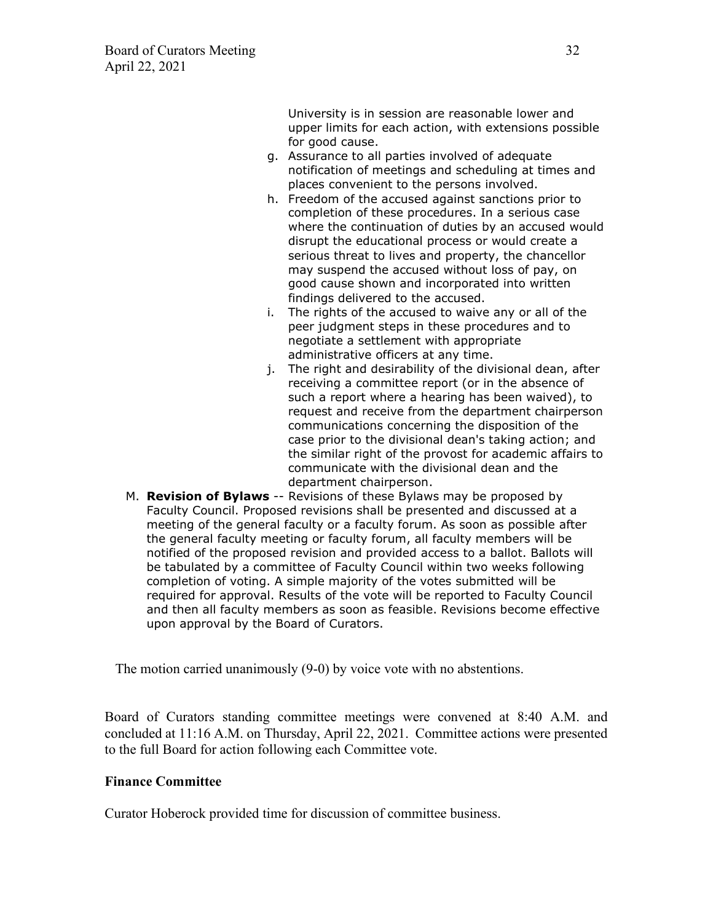University is in session are reasonable lower and upper limits for each action, with extensions possible for good cause.

- g. Assurance to all parties involved of adequate notification of meetings and scheduling at times and places convenient to the persons involved.
- h. Freedom of the accused against sanctions prior to completion of these procedures. In a serious case where the continuation of duties by an accused would disrupt the educational process or would create a serious threat to lives and property, the chancellor may suspend the accused without loss of pay, on good cause shown and incorporated into written findings delivered to the accused.
- i. The rights of the accused to waive any or all of the peer judgment steps in these procedures and to negotiate a settlement with appropriate administrative officers at any time.
- j. The right and desirability of the divisional dean, after receiving a committee report (or in the absence of such a report where a hearing has been waived), to request and receive from the department chairperson communications concerning the disposition of the case prior to the divisional dean's taking action; and the similar right of the provost for academic affairs to communicate with the divisional dean and the department chairperson.
- M. **Revision of Bylaws** -- Revisions of these Bylaws may be proposed by Faculty Council. Proposed revisions shall be presented and discussed at a meeting of the general faculty or a faculty forum. As soon as possible after the general faculty meeting or faculty forum, all faculty members will be notified of the proposed revision and provided access to a ballot. Ballots will be tabulated by a committee of Faculty Council within two weeks following completion of voting. A simple majority of the votes submitted will be required for approval. Results of the vote will be reported to Faculty Council and then all faculty members as soon as feasible. Revisions become effective upon approval by the Board of Curators.

The motion carried unanimously (9-0) by voice vote with no abstentions.

Board of Curators standing committee meetings were convened at 8:40 A.M. and concluded at 11:16 A.M. on Thursday, April 22, 2021. Committee actions were presented to the full Board for action following each Committee vote.

## **Finance Committee**

Curator Hoberock provided time for discussion of committee business.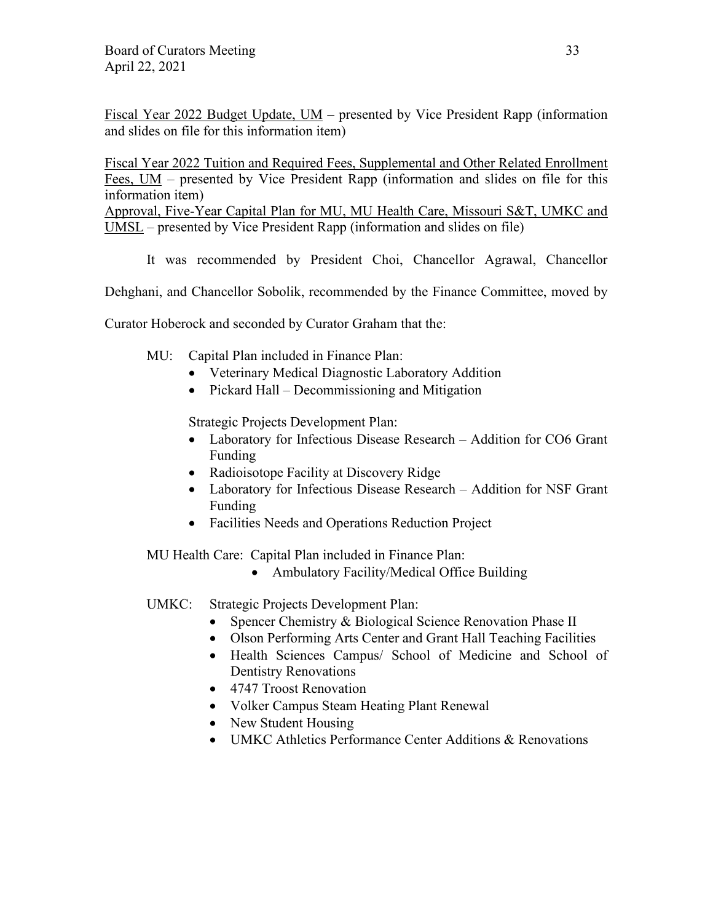Fiscal Year 2022 Budget Update, UM – presented by Vice President Rapp (information and slides on file for this information item)

Fiscal Year 2022 Tuition and Required Fees, Supplemental and Other Related Enrollment Fees, UM – presented by Vice President Rapp (information and slides on file for this information item)

Approval, Five-Year Capital Plan for MU, MU Health Care, Missouri S&T, UMKC and UMSL – presented by Vice President Rapp (information and slides on file)

It was recommended by President Choi, Chancellor Agrawal, Chancellor

Dehghani, and Chancellor Sobolik, recommended by the Finance Committee, moved by

Curator Hoberock and seconded by Curator Graham that the:

MU: Capital Plan included in Finance Plan:

- Veterinary Medical Diagnostic Laboratory Addition
- Pickard Hall Decommissioning and Mitigation

Strategic Projects Development Plan:

- Laboratory for Infectious Disease Research Addition for CO6 Grant Funding
- Radioisotope Facility at Discovery Ridge
- Laboratory for Infectious Disease Research Addition for NSF Grant Funding
- Facilities Needs and Operations Reduction Project

MU Health Care: Capital Plan included in Finance Plan:

- Ambulatory Facility/Medical Office Building
- UMKC: Strategic Projects Development Plan:
	- Spencer Chemistry & Biological Science Renovation Phase II
	- Olson Performing Arts Center and Grant Hall Teaching Facilities
	- Health Sciences Campus/ School of Medicine and School of Dentistry Renovations
	- 4747 Troost Renovation
	- Volker Campus Steam Heating Plant Renewal
	- New Student Housing
	- UMKC Athletics Performance Center Additions & Renovations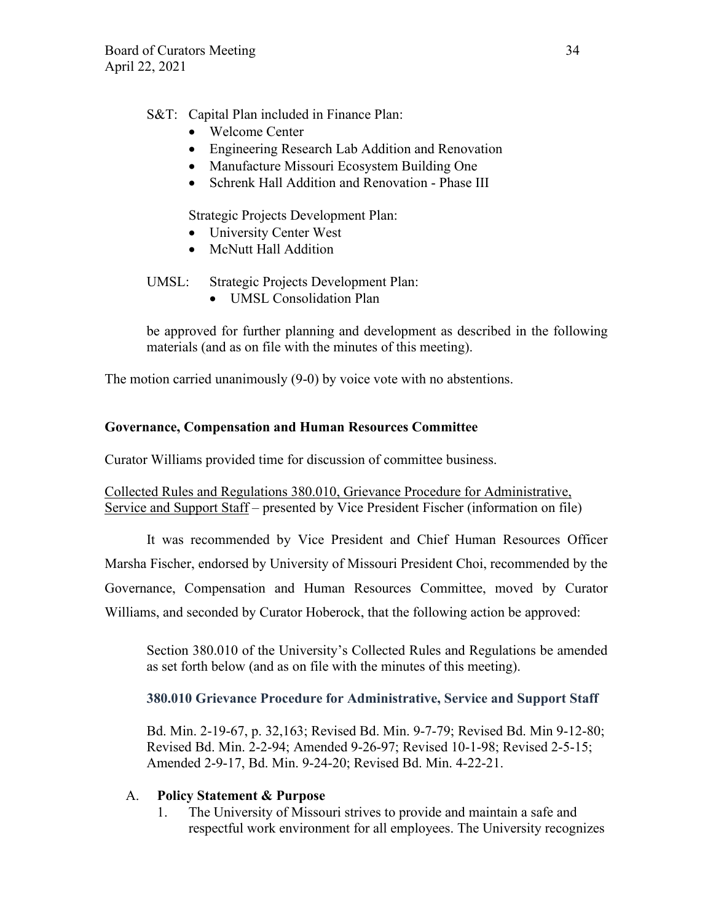# S&T: Capital Plan included in Finance Plan:

- Welcome Center
- Engineering Research Lab Addition and Renovation
- Manufacture Missouri Ecosystem Building One
- Schrenk Hall Addition and Renovation Phase III

Strategic Projects Development Plan:

- University Center West
- McNutt Hall Addition

# UMSL: Strategic Projects Development Plan:

• UMSL Consolidation Plan

be approved for further planning and development as described in the following materials (and as on file with the minutes of this meeting).

The motion carried unanimously (9-0) by voice vote with no abstentions.

# **Governance, Compensation and Human Resources Committee**

Curator Williams provided time for discussion of committee business.

Collected Rules and Regulations 380.010, Grievance Procedure for Administrative, Service and Support Staff – presented by Vice President Fischer (information on file)

It was recommended by Vice President and Chief Human Resources Officer Marsha Fischer, endorsed by University of Missouri President Choi, recommended by the Governance, Compensation and Human Resources Committee, moved by Curator Williams, and seconded by Curator Hoberock, that the following action be approved:

Section 380.010 of the University's Collected Rules and Regulations be amended as set forth below (and as on file with the minutes of this meeting).

# **380.010 Grievance Procedure for Administrative, Service and Support Staff**

Bd. Min. 2-19-67, p. 32,163; Revised Bd. Min. 9-7-79; Revised Bd. Min 9-12-80; Revised Bd. Min. 2-2-94; Amended 9-26-97; Revised 10-1-98; Revised 2-5-15; Amended 2-9-17, Bd. Min. 9-24-20; Revised Bd. Min. 4-22-21.

## A. **Policy Statement & Purpose**

1. The University of Missouri strives to provide and maintain a safe and respectful work environment for all employees. The University recognizes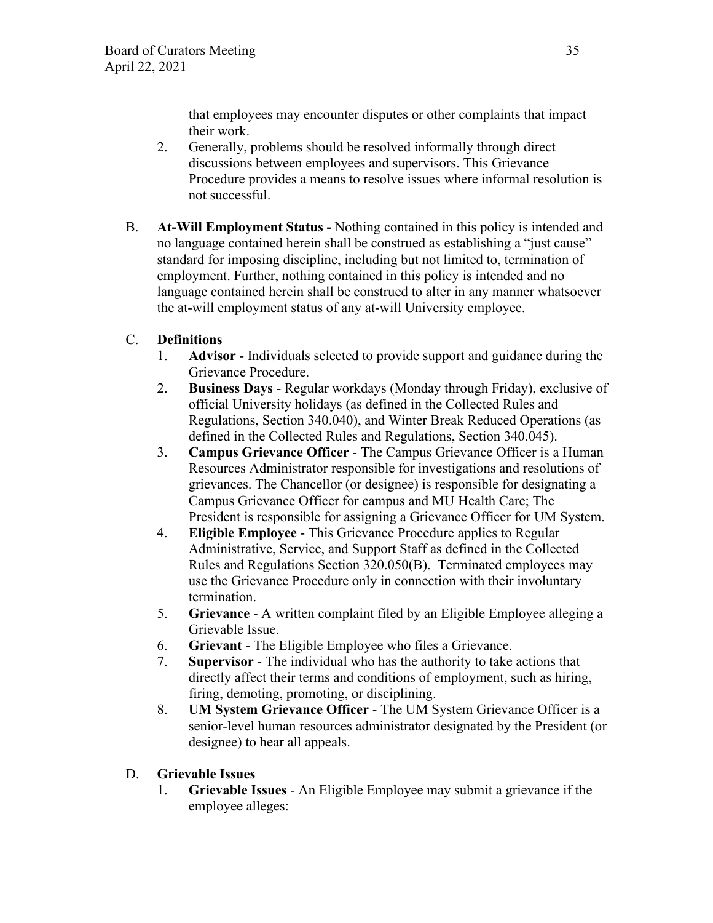that employees may encounter disputes or other complaints that impact their work.

- 2. Generally, problems should be resolved informally through direct discussions between employees and supervisors. This Grievance Procedure provides a means to resolve issues where informal resolution is not successful.
- B. **At-Will Employment Status** Nothing contained in this policy is intended and no language contained herein shall be construed as establishing a "just cause" standard for imposing discipline, including but not limited to, termination of employment. Further, nothing contained in this policy is intended and no language contained herein shall be construed to alter in any manner whatsoever the at-will employment status of any at-will University employee.

# C. **Definitions**

- 1. **Advisor** Individuals selected to provide support and guidance during the Grievance Procedure.
- 2. **Business Days** Regular workdays (Monday through Friday), exclusive of official University holidays (as defined in the Collected Rules and Regulations, Section 340.040), and Winter Break Reduced Operations (as defined in the Collected Rules and Regulations, Section 340.045).
- 3. **Campus Grievance Officer** The Campus Grievance Officer is a Human Resources Administrator responsible for investigations and resolutions of grievances. The Chancellor (or designee) is responsible for designating a Campus Grievance Officer for campus and MU Health Care; The President is responsible for assigning a Grievance Officer for UM System.
- 4. **Eligible Employee** This Grievance Procedure applies to Regular Administrative, Service, and Support Staff as defined in the Collected Rules and Regulations Section 320.050(B). Terminated employees may use the Grievance Procedure only in connection with their involuntary termination.
- 5. **Grievance** A written complaint filed by an Eligible Employee alleging a Grievable Issue.
- 6. **Grievant**  The Eligible Employee who files a Grievance.
- 7. **Supervisor**  The individual who has the authority to take actions that directly affect their terms and conditions of employment, such as hiring, firing, demoting, promoting, or disciplining.
- 8. **UM System Grievance Officer** The UM System Grievance Officer is a senior-level human resources administrator designated by the President (or designee) to hear all appeals.

# D. **Grievable Issues**

1. **Grievable Issues** - An Eligible Employee may submit a grievance if the employee alleges: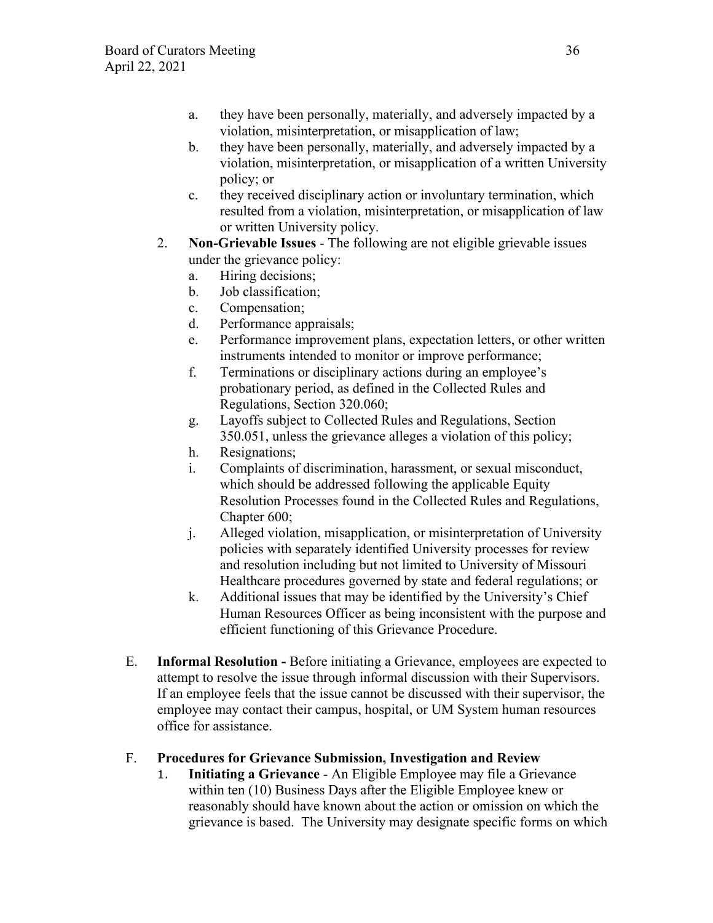- a. they have been personally, materially, and adversely impacted by a violation, misinterpretation, or misapplication of law;
- b. they have been personally, materially, and adversely impacted by a violation, misinterpretation, or misapplication of a written University policy; or
- c. they received disciplinary action or involuntary termination, which resulted from a violation, misinterpretation, or misapplication of law or written University policy.
- 2. **Non-Grievable Issues** The following are not eligible grievable issues under the grievance policy:
	- a. Hiring decisions;
	- b. Job classification;
	- c. Compensation;
	- d. Performance appraisals;
	- e. Performance improvement plans, expectation letters, or other written instruments intended to monitor or improve performance;
	- f. Terminations or disciplinary actions during an employee's probationary period, as defined in the Collected Rules and Regulations, Section 320.060;
	- g. Layoffs subject to Collected Rules and Regulations, Section 350.051, unless the grievance alleges a violation of this policy;
	- h. Resignations;
	- i. Complaints of discrimination, harassment, or sexual misconduct, which should be addressed following the applicable Equity Resolution Processes found in the Collected Rules and Regulations, Chapter 600;
	- j. Alleged violation, misapplication, or misinterpretation of University policies with separately identified University processes for review and resolution including but not limited to University of Missouri Healthcare procedures governed by state and federal regulations; or
	- k. Additional issues that may be identified by the University's Chief Human Resources Officer as being inconsistent with the purpose and efficient functioning of this Grievance Procedure.
- E. **Informal Resolution** Before initiating a Grievance, employees are expected to attempt to resolve the issue through informal discussion with their Supervisors. If an employee feels that the issue cannot be discussed with their supervisor, the employee may contact their campus, hospital, or UM System human resources office for assistance.

# F. **Procedures for Grievance Submission, Investigation and Review**

1. **Initiating a Grievance** - An Eligible Employee may file a Grievance within ten (10) Business Days after the Eligible Employee knew or reasonably should have known about the action or omission on which the grievance is based. The University may designate specific forms on which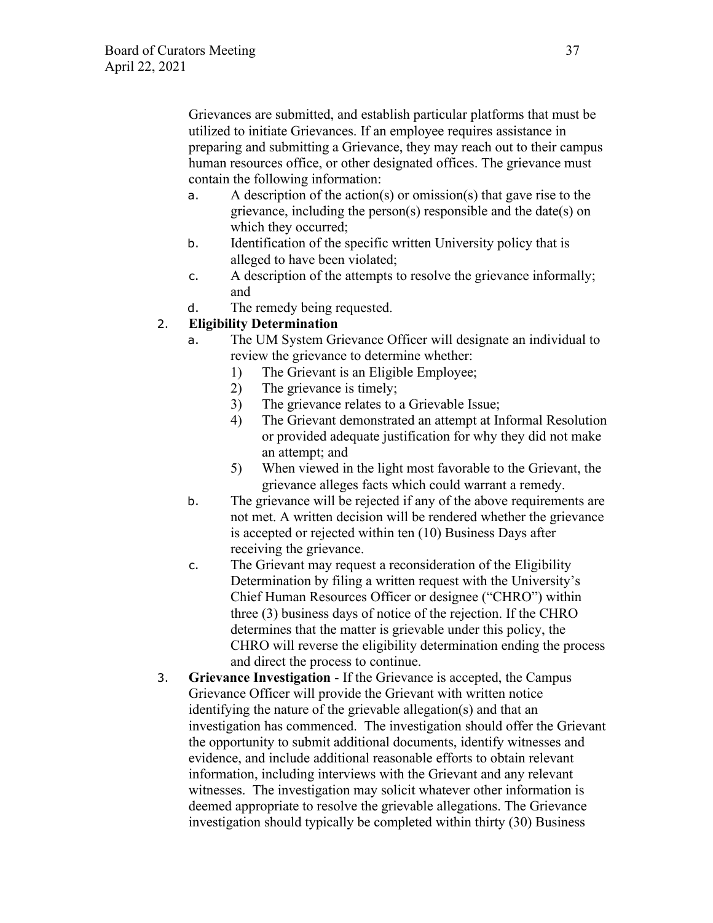Grievances are submitted, and establish particular platforms that must be utilized to initiate Grievances. If an employee requires assistance in preparing and submitting a Grievance, they may reach out to their campus human resources office, or other designated offices. The grievance must contain the following information:

- a. A description of the action(s) or omission(s) that gave rise to the grievance, including the person(s) responsible and the date(s) on which they occurred;
- b. Identification of the specific written University policy that is alleged to have been violated;
- c. A description of the attempts to resolve the grievance informally; and
- d. The remedy being requested.

# 2. **Eligibility Determination**

- a. The UM System Grievance Officer will designate an individual to review the grievance to determine whether:
	- 1) The Grievant is an Eligible Employee;
	- 2) The grievance is timely;
	- 3) The grievance relates to a Grievable Issue;
	- 4) The Grievant demonstrated an attempt at Informal Resolution or provided adequate justification for why they did not make an attempt; and
	- 5) When viewed in the light most favorable to the Grievant, the grievance alleges facts which could warrant a remedy.
- b. The grievance will be rejected if any of the above requirements are not met. A written decision will be rendered whether the grievance is accepted or rejected within ten (10) Business Days after receiving the grievance.
- c. The Grievant may request a reconsideration of the Eligibility Determination by filing a written request with the University's Chief Human Resources Officer or designee ("CHRO") within three (3) business days of notice of the rejection. If the CHRO determines that the matter is grievable under this policy, the CHRO will reverse the eligibility determination ending the process and direct the process to continue.
- 3. **Grievance Investigation**  If the Grievance is accepted, the Campus Grievance Officer will provide the Grievant with written notice identifying the nature of the grievable allegation(s) and that an investigation has commenced. The investigation should offer the Grievant the opportunity to submit additional documents, identify witnesses and evidence, and include additional reasonable efforts to obtain relevant information, including interviews with the Grievant and any relevant witnesses. The investigation may solicit whatever other information is deemed appropriate to resolve the grievable allegations. The Grievance investigation should typically be completed within thirty (30) Business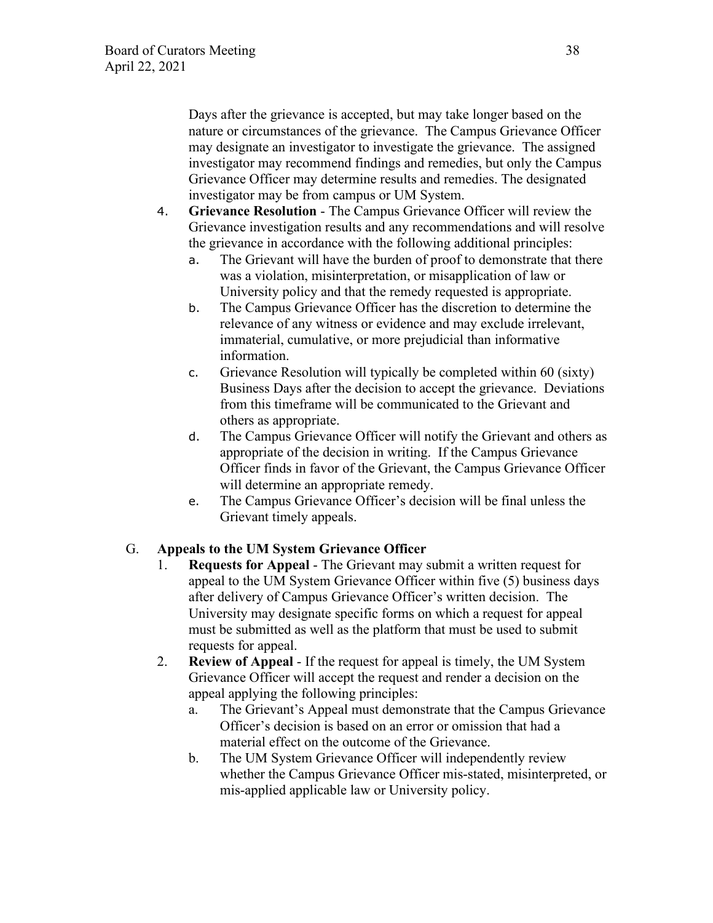Days after the grievance is accepted, but may take longer based on the nature or circumstances of the grievance. The Campus Grievance Officer may designate an investigator to investigate the grievance. The assigned investigator may recommend findings and remedies, but only the Campus Grievance Officer may determine results and remedies. The designated investigator may be from campus or UM System.

- 4. **Grievance Resolution** The Campus Grievance Officer will review the Grievance investigation results and any recommendations and will resolve the grievance in accordance with the following additional principles:
	- a. The Grievant will have the burden of proof to demonstrate that there was a violation, misinterpretation, or misapplication of law or University policy and that the remedy requested is appropriate.
	- b. The Campus Grievance Officer has the discretion to determine the relevance of any witness or evidence and may exclude irrelevant, immaterial, cumulative, or more prejudicial than informative information.
	- c. Grievance Resolution will typically be completed within 60 (sixty) Business Days after the decision to accept the grievance. Deviations from this timeframe will be communicated to the Grievant and others as appropriate.
	- d. The Campus Grievance Officer will notify the Grievant and others as appropriate of the decision in writing. If the Campus Grievance Officer finds in favor of the Grievant, the Campus Grievance Officer will determine an appropriate remedy.
	- e. The Campus Grievance Officer's decision will be final unless the Grievant timely appeals.

# G. **Appeals to the UM System Grievance Officer**

- 1. **Requests for Appeal** The Grievant may submit a written request for appeal to the UM System Grievance Officer within five (5) business days after delivery of Campus Grievance Officer's written decision. The University may designate specific forms on which a request for appeal must be submitted as well as the platform that must be used to submit requests for appeal.
- 2. **Review of Appeal** If the request for appeal is timely, the UM System Grievance Officer will accept the request and render a decision on the appeal applying the following principles:
	- a. The Grievant's Appeal must demonstrate that the Campus Grievance Officer's decision is based on an error or omission that had a material effect on the outcome of the Grievance.
	- b. The UM System Grievance Officer will independently review whether the Campus Grievance Officer mis-stated, misinterpreted, or mis-applied applicable law or University policy.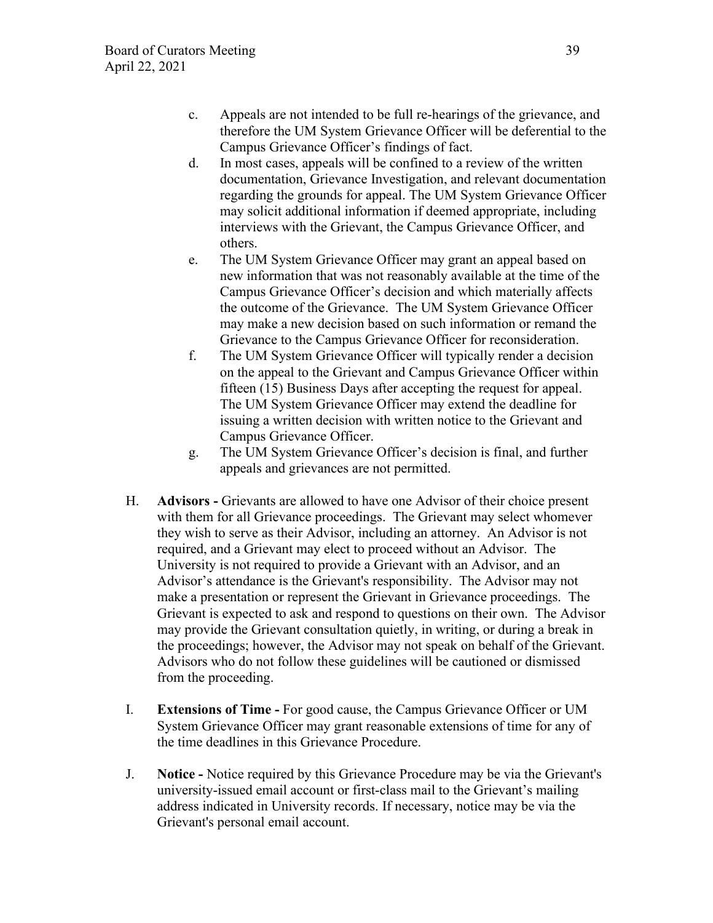- c. Appeals are not intended to be full re-hearings of the grievance, and therefore the UM System Grievance Officer will be deferential to the Campus Grievance Officer's findings of fact.
- d. In most cases, appeals will be confined to a review of the written documentation, Grievance Investigation, and relevant documentation regarding the grounds for appeal. The UM System Grievance Officer may solicit additional information if deemed appropriate, including interviews with the Grievant, the Campus Grievance Officer, and others.
- e. The UM System Grievance Officer may grant an appeal based on new information that was not reasonably available at the time of the Campus Grievance Officer's decision and which materially affects the outcome of the Grievance. The UM System Grievance Officer may make a new decision based on such information or remand the Grievance to the Campus Grievance Officer for reconsideration.
- f. The UM System Grievance Officer will typically render a decision on the appeal to the Grievant and Campus Grievance Officer within fifteen (15) Business Days after accepting the request for appeal. The UM System Grievance Officer may extend the deadline for issuing a written decision with written notice to the Grievant and Campus Grievance Officer.
- g. The UM System Grievance Officer's decision is final, and further appeals and grievances are not permitted.
- H. **Advisors** Grievants are allowed to have one Advisor of their choice present with them for all Grievance proceedings. The Grievant may select whomever they wish to serve as their Advisor, including an attorney. An Advisor is not required, and a Grievant may elect to proceed without an Advisor. The University is not required to provide a Grievant with an Advisor, and an Advisor's attendance is the Grievant's responsibility. The Advisor may not make a presentation or represent the Grievant in Grievance proceedings. The Grievant is expected to ask and respond to questions on their own. The Advisor may provide the Grievant consultation quietly, in writing, or during a break in the proceedings; however, the Advisor may not speak on behalf of the Grievant. Advisors who do not follow these guidelines will be cautioned or dismissed from the proceeding.
- I. **Extensions of Time** For good cause, the Campus Grievance Officer or UM System Grievance Officer may grant reasonable extensions of time for any of the time deadlines in this Grievance Procedure.
- J. **Notice** Notice required by this Grievance Procedure may be via the Grievant's university-issued email account or first-class mail to the Grievant's mailing address indicated in University records. If necessary, notice may be via the Grievant's personal email account.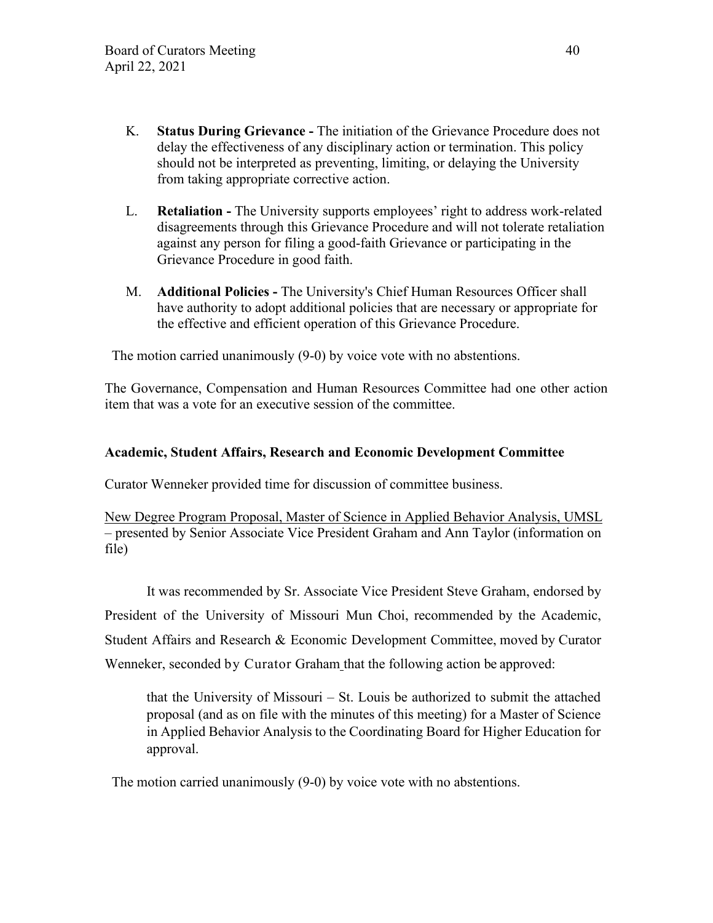- K. **Status During Grievance** The initiation of the Grievance Procedure does not delay the effectiveness of any disciplinary action or termination. This policy should not be interpreted as preventing, limiting, or delaying the University from taking appropriate corrective action.
- L. **Retaliation The University supports employees' right to address work-related** disagreements through this Grievance Procedure and will not tolerate retaliation against any person for filing a good-faith Grievance or participating in the Grievance Procedure in good faith.
- M. **Additional Policies** The University's Chief Human Resources Officer shall have authority to adopt additional policies that are necessary or appropriate for the effective and efficient operation of this Grievance Procedure.

The motion carried unanimously (9-0) by voice vote with no abstentions.

The Governance, Compensation and Human Resources Committee had one other action item that was a vote for an executive session of the committee.

# **Academic, Student Affairs, Research and Economic Development Committee**

Curator Wenneker provided time for discussion of committee business.

New Degree Program Proposal, Master of Science in Applied Behavior Analysis, UMSL – presented by Senior Associate Vice President Graham and Ann Taylor (information on file)

It was recommended by Sr. Associate Vice President Steve Graham, endorsed by President of the University of Missouri Mun Choi, recommended by the Academic, Student Affairs and Research & Economic Development Committee, moved by Curator Wenneker, seconded by Curator Graham that the following action be approved:

that the University of Missouri – St. Louis be authorized to submit the attached proposal (and as on file with the minutes of this meeting) for a Master of Science in Applied Behavior Analysis to the Coordinating Board for Higher Education for approval.

The motion carried unanimously (9-0) by voice vote with no abstentions.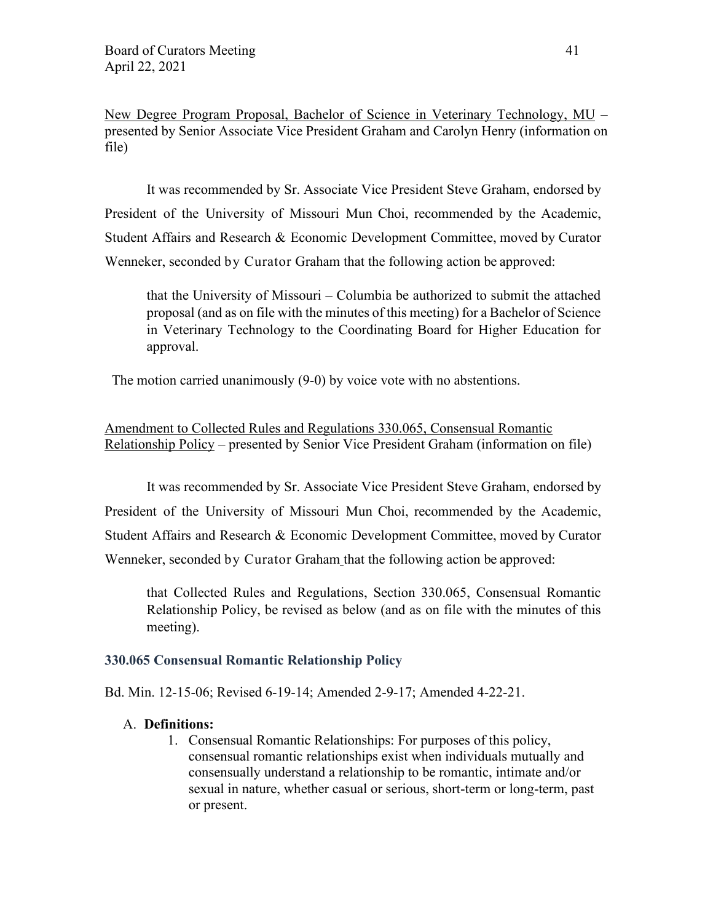New Degree Program Proposal, Bachelor of Science in Veterinary Technology, MU – presented by Senior Associate Vice President Graham and Carolyn Henry (information on file)

It was recommended by Sr. Associate Vice President Steve Graham, endorsed by President of the University of Missouri Mun Choi, recommended by the Academic, Student Affairs and Research & Economic Development Committee, moved by Curator Wenneker, seconded by Curator Graham that the following action be approved:

that the University of Missouri – Columbia be authorized to submit the attached proposal (and as on file with the minutes of this meeting) for a Bachelor of Science in Veterinary Technology to the Coordinating Board for Higher Education for approval.

The motion carried unanimously (9-0) by voice vote with no abstentions.

Amendment to Collected Rules and Regulations 330.065, Consensual Romantic Relationship Policy – presented by Senior Vice President Graham (information on file)

It was recommended by Sr. Associate Vice President Steve Graham, endorsed by President of the University of Missouri Mun Choi, recommended by the Academic, Student Affairs and Research & Economic Development Committee, moved by Curator Wenneker, seconded by Curator Graham that the following action be approved:

that Collected Rules and Regulations, Section 330.065, Consensual Romantic Relationship Policy, be revised as below (and as on file with the minutes of this meeting).

## **330.065 Consensual Romantic Relationship Policy**

Bd. Min. 12-15-06; Revised 6-19-14; Amended 2-9-17; Amended 4-22-21.

### A. **Definitions:**

1. Consensual Romantic Relationships: For purposes of this policy, consensual romantic relationships exist when individuals mutually and consensually understand a relationship to be romantic, intimate and/or sexual in nature, whether casual or serious, short-term or long-term, past or present.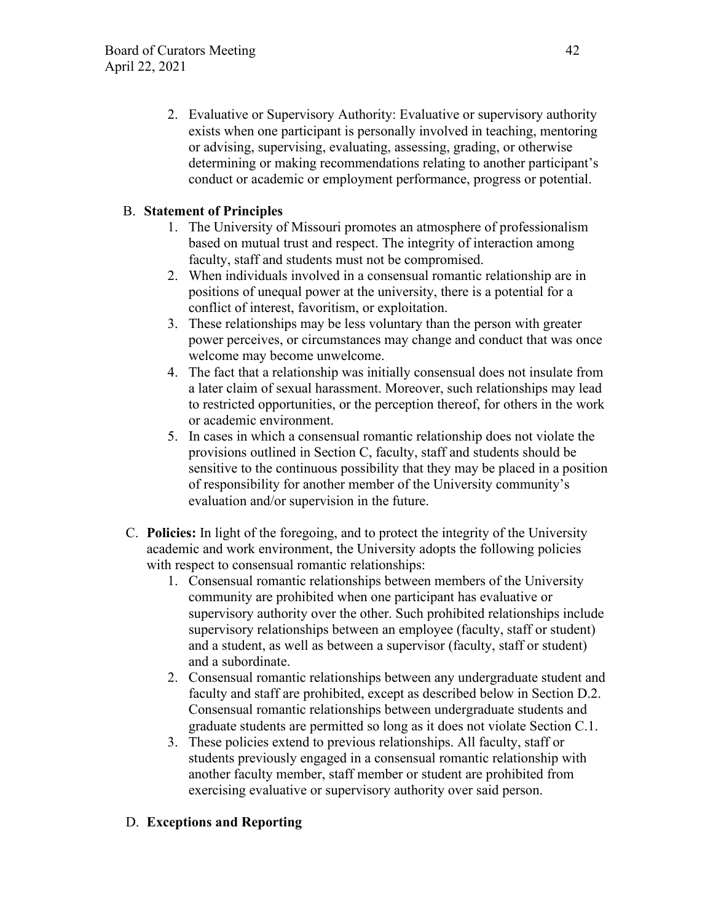2. Evaluative or Supervisory Authority: Evaluative or supervisory authority exists when one participant is personally involved in teaching, mentoring or advising, supervising, evaluating, assessing, grading, or otherwise determining or making recommendations relating to another participant's conduct or academic or employment performance, progress or potential.

# B. **Statement of Principles**

- 1. The University of Missouri promotes an atmosphere of professionalism based on mutual trust and respect. The integrity of interaction among faculty, staff and students must not be compromised.
- 2. When individuals involved in a consensual romantic relationship are in positions of unequal power at the university, there is a potential for a conflict of interest, favoritism, or exploitation.
- 3. These relationships may be less voluntary than the person with greater power perceives, or circumstances may change and conduct that was once welcome may become unwelcome.
- 4. The fact that a relationship was initially consensual does not insulate from a later claim of sexual harassment. Moreover, such relationships may lead to restricted opportunities, or the perception thereof, for others in the work or academic environment.
- 5. In cases in which a consensual romantic relationship does not violate the provisions outlined in Section C, faculty, staff and students should be sensitive to the continuous possibility that they may be placed in a position of responsibility for another member of the University community's evaluation and/or supervision in the future.
- C. **Policies:** In light of the foregoing, and to protect the integrity of the University academic and work environment, the University adopts the following policies with respect to consensual romantic relationships:
	- 1. Consensual romantic relationships between members of the University community are prohibited when one participant has evaluative or supervisory authority over the other. Such prohibited relationships include supervisory relationships between an employee (faculty, staff or student) and a student, as well as between a supervisor (faculty, staff or student) and a subordinate.
	- 2. Consensual romantic relationships between any undergraduate student and faculty and staff are prohibited, except as described below in Section D.2. Consensual romantic relationships between undergraduate students and graduate students are permitted so long as it does not violate Section C.1.
	- 3. These policies extend to previous relationships. All faculty, staff or students previously engaged in a consensual romantic relationship with another faculty member, staff member or student are prohibited from exercising evaluative or supervisory authority over said person.

# D. **Exceptions and Reporting**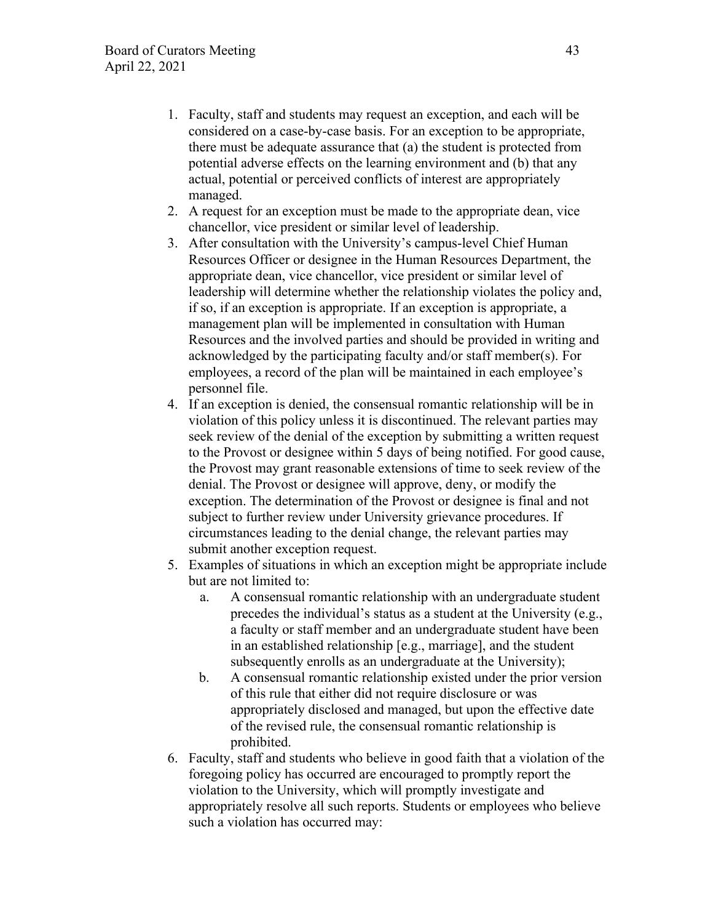- 1. Faculty, staff and students may request an exception, and each will be considered on a case-by-case basis. For an exception to be appropriate, there must be adequate assurance that (a) the student is protected from potential adverse effects on the learning environment and (b) that any actual, potential or perceived conflicts of interest are appropriately managed.
- 2. A request for an exception must be made to the appropriate dean, vice chancellor, vice president or similar level of leadership.
- 3. After consultation with the University's campus-level Chief Human Resources Officer or designee in the Human Resources Department, the appropriate dean, vice chancellor, vice president or similar level of leadership will determine whether the relationship violates the policy and, if so, if an exception is appropriate. If an exception is appropriate, a management plan will be implemented in consultation with Human Resources and the involved parties and should be provided in writing and acknowledged by the participating faculty and/or staff member(s). For employees, a record of the plan will be maintained in each employee's personnel file.
- 4. If an exception is denied, the consensual romantic relationship will be in violation of this policy unless it is discontinued. The relevant parties may seek review of the denial of the exception by submitting a written request to the Provost or designee within 5 days of being notified. For good cause, the Provost may grant reasonable extensions of time to seek review of the denial. The Provost or designee will approve, deny, or modify the exception. The determination of the Provost or designee is final and not subject to further review under University grievance procedures. If circumstances leading to the denial change, the relevant parties may submit another exception request.
- 5. Examples of situations in which an exception might be appropriate include but are not limited to:
	- a. A consensual romantic relationship with an undergraduate student precedes the individual's status as a student at the University (e.g., a faculty or staff member and an undergraduate student have been in an established relationship [e.g., marriage], and the student subsequently enrolls as an undergraduate at the University);
	- b. A consensual romantic relationship existed under the prior version of this rule that either did not require disclosure or was appropriately disclosed and managed, but upon the effective date of the revised rule, the consensual romantic relationship is prohibited.
- 6. Faculty, staff and students who believe in good faith that a violation of the foregoing policy has occurred are encouraged to promptly report the violation to the University, which will promptly investigate and appropriately resolve all such reports. Students or employees who believe such a violation has occurred may: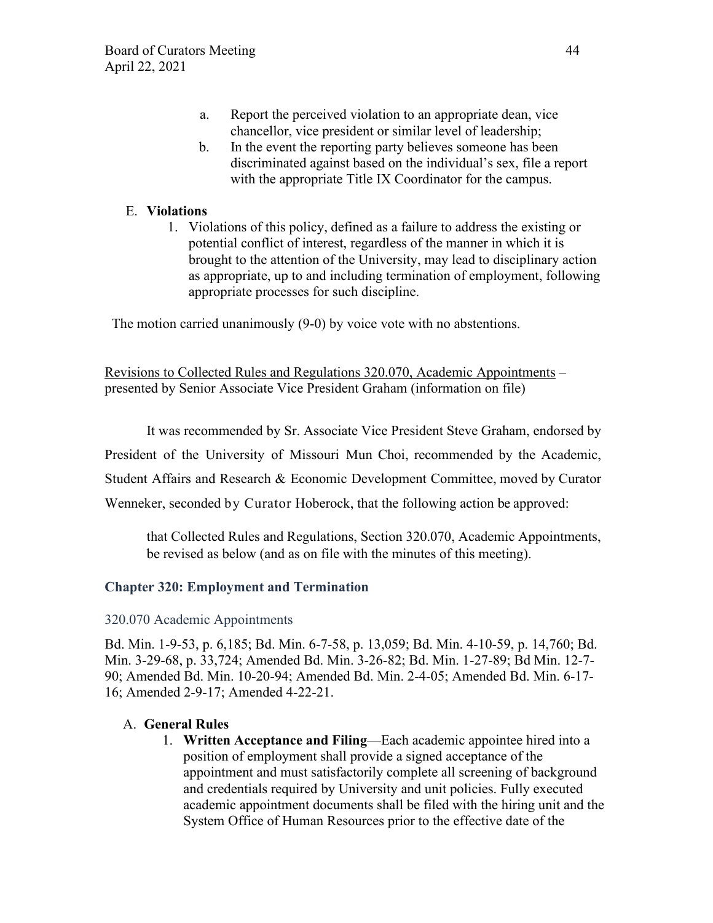- a. Report the perceived violation to an appropriate dean, vice chancellor, vice president or similar level of leadership;
- b. In the event the reporting party believes someone has been discriminated against based on the individual's sex, file a report with the appropriate Title IX Coordinator for the campus.

# E. **Violations**

1. Violations of this policy, defined as a failure to address the existing or potential conflict of interest, regardless of the manner in which it is brought to the attention of the University, may lead to disciplinary action as appropriate, up to and including termination of employment, following appropriate processes for such discipline.

The motion carried unanimously (9-0) by voice vote with no abstentions.

Revisions to Collected Rules and Regulations 320.070, Academic Appointments – presented by Senior Associate Vice President Graham (information on file)

It was recommended by Sr. Associate Vice President Steve Graham, endorsed by

President of the University of Missouri Mun Choi, recommended by the Academic,

Student Affairs and Research & Economic Development Committee, moved by Curator

Wenneker, seconded by Curator Hoberock, that the following action be approved:

that Collected Rules and Regulations, Section 320.070, Academic Appointments, be revised as below (and as on file with the minutes of this meeting).

# **Chapter 320: Employment and Termination**

## 320.070 Academic Appointments

Bd. Min. 1-9-53, p. 6,185; Bd. Min. 6-7-58, p. 13,059; Bd. Min. 4-10-59, p. 14,760; Bd. Min. 3-29-68, p. 33,724; Amended Bd. Min. 3-26-82; Bd. Min. 1-27-89; Bd Min. 12-7- 90; Amended Bd. Min. 10-20-94; Amended Bd. Min. 2-4-05; Amended Bd. Min. 6-17- 16; Amended 2-9-17; Amended 4-22-21.

## A. **General Rules**

1. **Written Acceptance and Filing**—Each academic appointee hired into a position of employment shall provide a signed acceptance of the appointment and must satisfactorily complete all screening of background and credentials required by University and unit policies. Fully executed academic appointment documents shall be filed with the hiring unit and the System Office of Human Resources prior to the effective date of the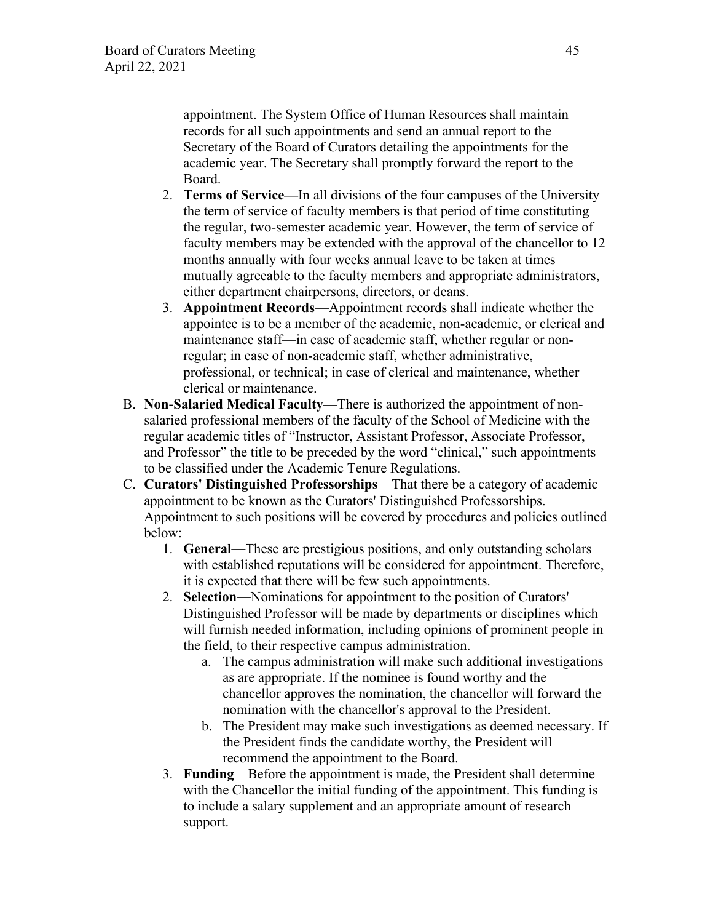appointment. The System Office of Human Resources shall maintain records for all such appointments and send an annual report to the Secretary of the Board of Curators detailing the appointments for the academic year. The Secretary shall promptly forward the report to the Board.

- 2. **Terms of Service—**In all divisions of the four campuses of the University the term of service of faculty members is that period of time constituting the regular, two-semester academic year. However, the term of service of faculty members may be extended with the approval of the chancellor to 12 months annually with four weeks annual leave to be taken at times mutually agreeable to the faculty members and appropriate administrators, either department chairpersons, directors, or deans.
- 3. **Appointment Records**—Appointment records shall indicate whether the appointee is to be a member of the academic, non-academic, or clerical and maintenance staff—in case of academic staff, whether regular or nonregular; in case of non-academic staff, whether administrative, professional, or technical; in case of clerical and maintenance, whether clerical or maintenance.
- B. **Non-Salaried Medical Faculty**—There is authorized the appointment of nonsalaried professional members of the faculty of the School of Medicine with the regular academic titles of "Instructor, Assistant Professor, Associate Professor, and Professor" the title to be preceded by the word "clinical," such appointments to be classified under the Academic Tenure Regulations.
- C. **Curators' Distinguished Professorships**—That there be a category of academic appointment to be known as the Curators' Distinguished Professorships. Appointment to such positions will be covered by procedures and policies outlined below:
	- 1. **General**—These are prestigious positions, and only outstanding scholars with established reputations will be considered for appointment. Therefore, it is expected that there will be few such appointments.
	- 2. **Selection**—Nominations for appointment to the position of Curators' Distinguished Professor will be made by departments or disciplines which will furnish needed information, including opinions of prominent people in the field, to their respective campus administration.
		- a. The campus administration will make such additional investigations as are appropriate. If the nominee is found worthy and the chancellor approves the nomination, the chancellor will forward the nomination with the chancellor's approval to the President.
		- b. The President may make such investigations as deemed necessary. If the President finds the candidate worthy, the President will recommend the appointment to the Board.
	- 3. **Funding**—Before the appointment is made, the President shall determine with the Chancellor the initial funding of the appointment. This funding is to include a salary supplement and an appropriate amount of research support.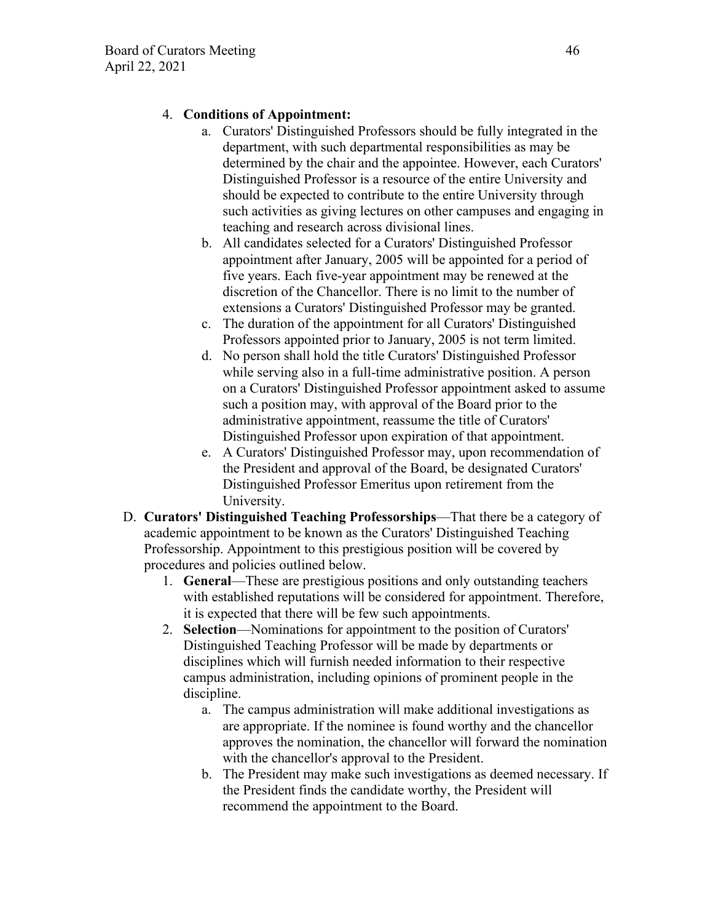# 4. **Conditions of Appointment:**

- a. Curators' Distinguished Professors should be fully integrated in the department, with such departmental responsibilities as may be determined by the chair and the appointee. However, each Curators' Distinguished Professor is a resource of the entire University and should be expected to contribute to the entire University through such activities as giving lectures on other campuses and engaging in teaching and research across divisional lines.
- b. All candidates selected for a Curators' Distinguished Professor appointment after January, 2005 will be appointed for a period of five years. Each five-year appointment may be renewed at the discretion of the Chancellor. There is no limit to the number of extensions a Curators' Distinguished Professor may be granted.
- c. The duration of the appointment for all Curators' Distinguished Professors appointed prior to January, 2005 is not term limited.
- d. No person shall hold the title Curators' Distinguished Professor while serving also in a full-time administrative position. A person on a Curators' Distinguished Professor appointment asked to assume such a position may, with approval of the Board prior to the administrative appointment, reassume the title of Curators' Distinguished Professor upon expiration of that appointment.
- e. A Curators' Distinguished Professor may, upon recommendation of the President and approval of the Board, be designated Curators' Distinguished Professor Emeritus upon retirement from the University.
- D. **Curators' Distinguished Teaching Professorships**—That there be a category of academic appointment to be known as the Curators' Distinguished Teaching Professorship. Appointment to this prestigious position will be covered by procedures and policies outlined below.
	- 1. **General**—These are prestigious positions and only outstanding teachers with established reputations will be considered for appointment. Therefore, it is expected that there will be few such appointments.
	- 2. **Selection**—Nominations for appointment to the position of Curators' Distinguished Teaching Professor will be made by departments or disciplines which will furnish needed information to their respective campus administration, including opinions of prominent people in the discipline.
		- a. The campus administration will make additional investigations as are appropriate. If the nominee is found worthy and the chancellor approves the nomination, the chancellor will forward the nomination with the chancellor's approval to the President.
		- b. The President may make such investigations as deemed necessary. If the President finds the candidate worthy, the President will recommend the appointment to the Board.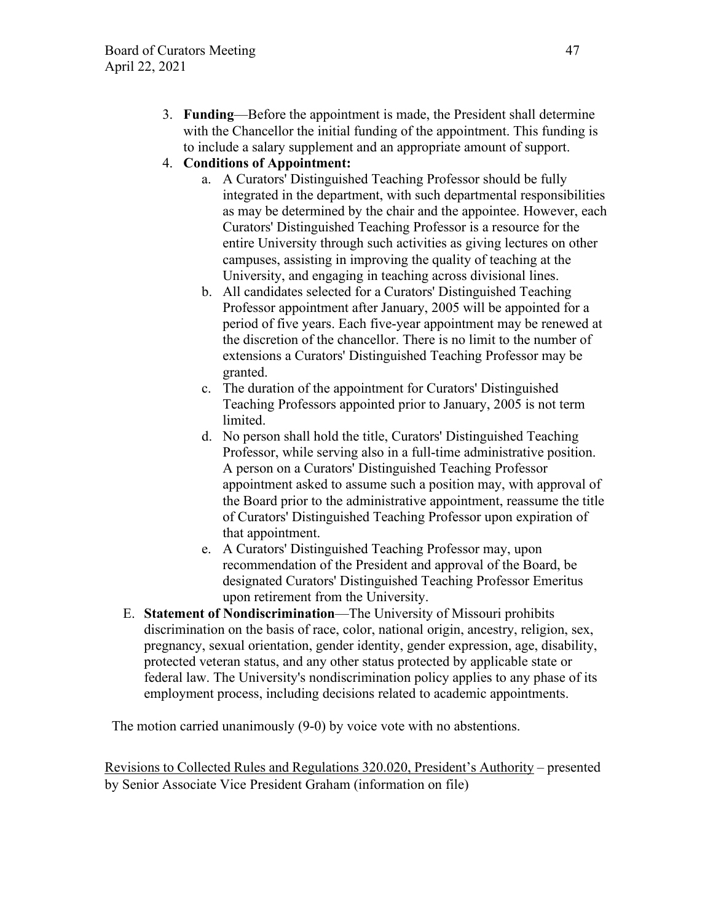3. **Funding**—Before the appointment is made, the President shall determine with the Chancellor the initial funding of the appointment. This funding is to include a salary supplement and an appropriate amount of support.

# 4. **Conditions of Appointment:**

- a. A Curators' Distinguished Teaching Professor should be fully integrated in the department, with such departmental responsibilities as may be determined by the chair and the appointee. However, each Curators' Distinguished Teaching Professor is a resource for the entire University through such activities as giving lectures on other campuses, assisting in improving the quality of teaching at the University, and engaging in teaching across divisional lines.
- b. All candidates selected for a Curators' Distinguished Teaching Professor appointment after January, 2005 will be appointed for a period of five years. Each five-year appointment may be renewed at the discretion of the chancellor. There is no limit to the number of extensions a Curators' Distinguished Teaching Professor may be granted.
- c. The duration of the appointment for Curators' Distinguished Teaching Professors appointed prior to January, 2005 is not term limited.
- d. No person shall hold the title, Curators' Distinguished Teaching Professor, while serving also in a full-time administrative position. A person on a Curators' Distinguished Teaching Professor appointment asked to assume such a position may, with approval of the Board prior to the administrative appointment, reassume the title of Curators' Distinguished Teaching Professor upon expiration of that appointment.
- e. A Curators' Distinguished Teaching Professor may, upon recommendation of the President and approval of the Board, be designated Curators' Distinguished Teaching Professor Emeritus upon retirement from the University.
- E. **Statement of Nondiscrimination**—The University of Missouri prohibits discrimination on the basis of race, color, national origin, ancestry, religion, sex, pregnancy, sexual orientation, gender identity, gender expression, age, disability, protected veteran status, and any other status protected by applicable state or federal law. The University's nondiscrimination policy applies to any phase of its employment process, including decisions related to academic appointments.

The motion carried unanimously (9-0) by voice vote with no abstentions.

Revisions to Collected Rules and Regulations 320.020, President's Authority – presented by Senior Associate Vice President Graham (information on file)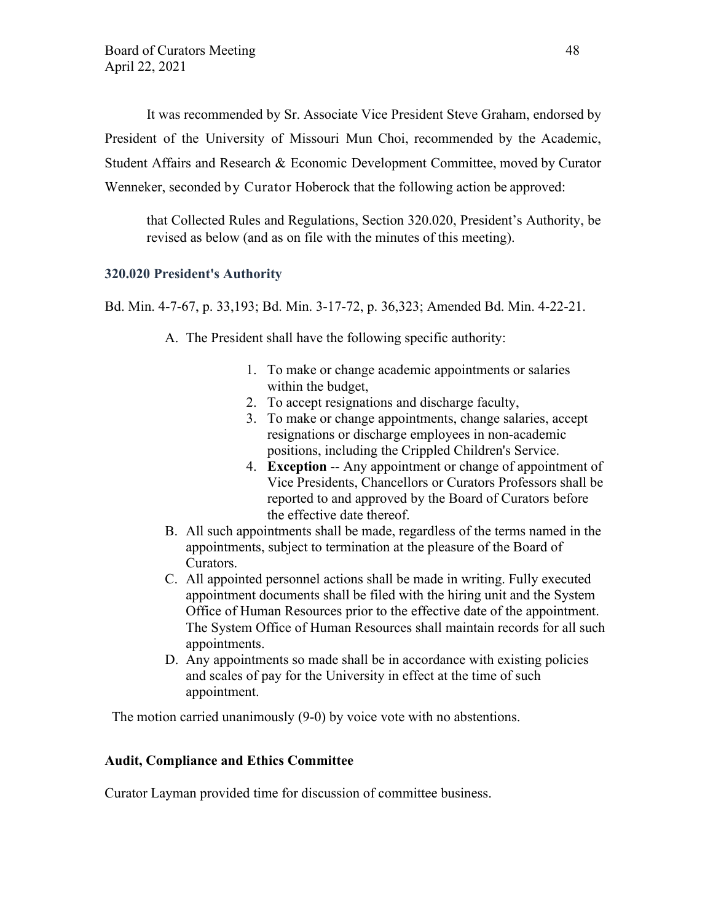It was recommended by Sr. Associate Vice President Steve Graham, endorsed by President of the University of Missouri Mun Choi, recommended by the Academic, Student Affairs and Research & Economic Development Committee, moved by Curator Wenneker, seconded by Curator Hoberock that the following action be approved:

that Collected Rules and Regulations, Section 320.020, President's Authority, be revised as below (and as on file with the minutes of this meeting).

## **320.020 President's Authority**

Bd. Min. 4-7-67, p. 33,193; Bd. Min. 3-17-72, p. 36,323; Amended Bd. Min. 4-22-21.

A. The President shall have the following specific authority:

- 1. To make or change academic appointments or salaries within the budget,
- 2. To accept resignations and discharge faculty,
- 3. To make or change appointments, change salaries, accept resignations or discharge employees in non-academic positions, including the Crippled Children's Service.
- 4. **Exception** -- Any appointment or change of appointment of Vice Presidents, Chancellors or Curators Professors shall be reported to and approved by the Board of Curators before the effective date thereof.
- B. All such appointments shall be made, regardless of the terms named in the appointments, subject to termination at the pleasure of the Board of Curators.
- C. All appointed personnel actions shall be made in writing. Fully executed appointment documents shall be filed with the hiring unit and the System Office of Human Resources prior to the effective date of the appointment. The System Office of Human Resources shall maintain records for all such appointments.
- D. Any appointments so made shall be in accordance with existing policies and scales of pay for the University in effect at the time of such appointment.

The motion carried unanimously (9-0) by voice vote with no abstentions.

#### **Audit, Compliance and Ethics Committee**

Curator Layman provided time for discussion of committee business.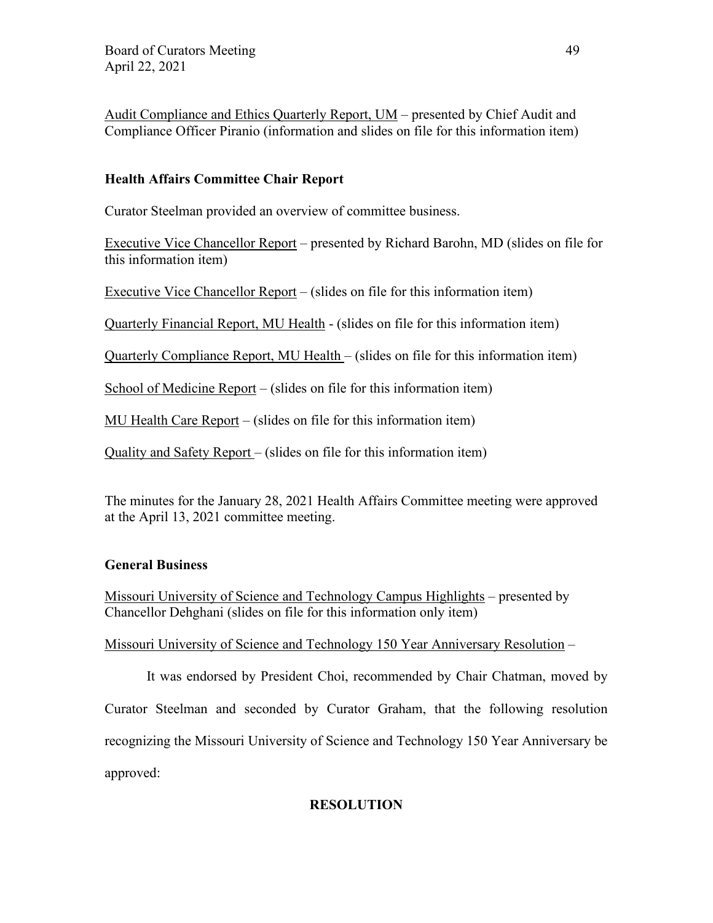Audit Compliance and Ethics Quarterly Report, UM – presented by Chief Audit and Compliance Officer Piranio (information and slides on file for this information item)

# **Health Affairs Committee Chair Report**

Curator Steelman provided an overview of committee business.

Executive Vice Chancellor Report – presented by Richard Barohn, MD (slides on file for this information item)

Executive Vice Chancellor Report – (slides on file for this information item)

Quarterly Financial Report, MU Health - (slides on file for this information item)

Quarterly Compliance Report, MU Health – (slides on file for this information item)

School of Medicine Report – (slides on file for this information item)

MU Health Care Report – (slides on file for this information item)

Quality and Safety Report – (slides on file for this information item)

The minutes for the January 28, 2021 Health Affairs Committee meeting were approved at the April 13, 2021 committee meeting.

## **General Business**

Missouri University of Science and Technology Campus Highlights – presented by Chancellor Dehghani (slides on file for this information only item)

Missouri University of Science and Technology 150 Year Anniversary Resolution –

It was endorsed by President Choi, recommended by Chair Chatman, moved by Curator Steelman and seconded by Curator Graham, that the following resolution recognizing the Missouri University of Science and Technology 150 Year Anniversary be approved:

# **RESOLUTION**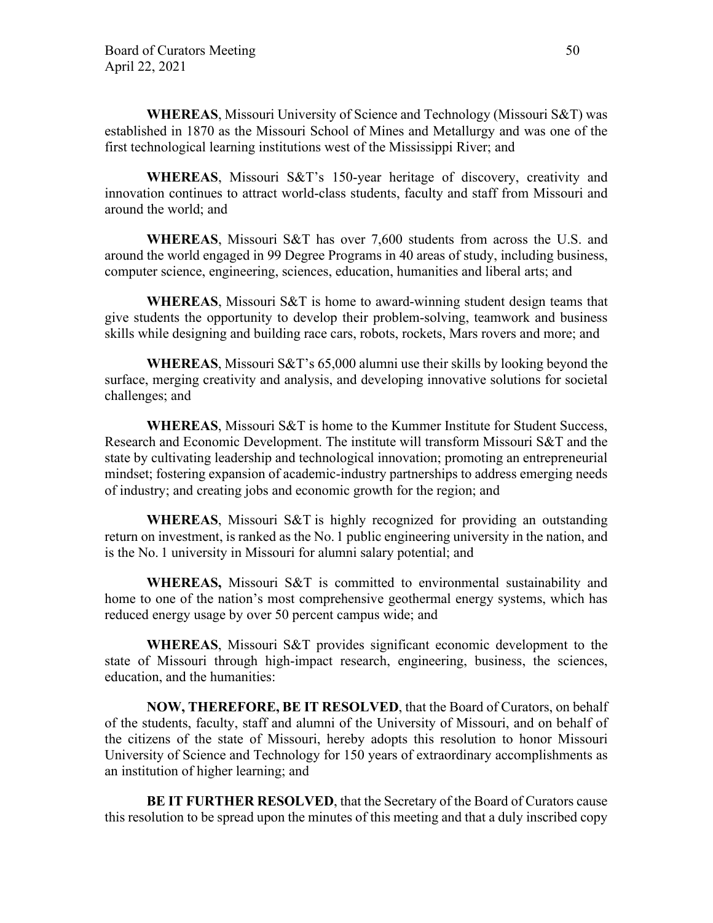**WHEREAS**, Missouri University of Science and Technology (Missouri S&T) was established in 1870 as the Missouri School of Mines and Metallurgy and was one of the first technological learning institutions west of the Mississippi River; and

**WHEREAS**, Missouri S&T's 150-year heritage of discovery, creativity and innovation continues to attract world-class students, faculty and staff from Missouri and around the world; and

**WHEREAS**, Missouri S&T has over 7,600 students from across the U.S. and around the world engaged in 99 Degree Programs in 40 areas of study, including business, computer science, engineering, sciences, education, humanities and liberal arts; and

**WHEREAS**, Missouri S&T is home to award-winning student design teams that give students the opportunity to develop their problem-solving, teamwork and business skills while designing and building race cars, robots, rockets, Mars rovers and more; and

**WHEREAS**, Missouri S&T's 65,000 alumni use their skills by looking beyond the surface, merging creativity and analysis, and developing innovative solutions for societal challenges; and

**WHEREAS**, Missouri S&T is home to the Kummer Institute for Student Success, Research and Economic Development. The institute will transform Missouri S&T and the state by cultivating leadership and technological innovation; promoting an entrepreneurial mindset; fostering expansion of academic-industry partnerships to address emerging needs of industry; and creating jobs and economic growth for the region; and

**WHEREAS**, Missouri S&T is highly recognized for providing an outstanding return on investment, is ranked as the No. 1 public engineering university in the nation, and is the No. 1 university in Missouri for alumni salary potential; and

**WHEREAS,** Missouri S&T is committed to environmental sustainability and home to one of the nation's most comprehensive geothermal energy systems, which has reduced energy usage by over 50 percent campus wide; and

**WHEREAS**, Missouri S&T provides significant economic development to the state of Missouri through high-impact research, engineering, business, the sciences, education, and the humanities:

**NOW, THEREFORE, BE IT RESOLVED**, that the Board of Curators, on behalf of the students, faculty, staff and alumni of the University of Missouri, and on behalf of the citizens of the state of Missouri, hereby adopts this resolution to honor Missouri University of Science and Technology for 150 years of extraordinary accomplishments as an institution of higher learning; and

**BE IT FURTHER RESOLVED**, that the Secretary of the Board of Curators cause this resolution to be spread upon the minutes of this meeting and that a duly inscribed copy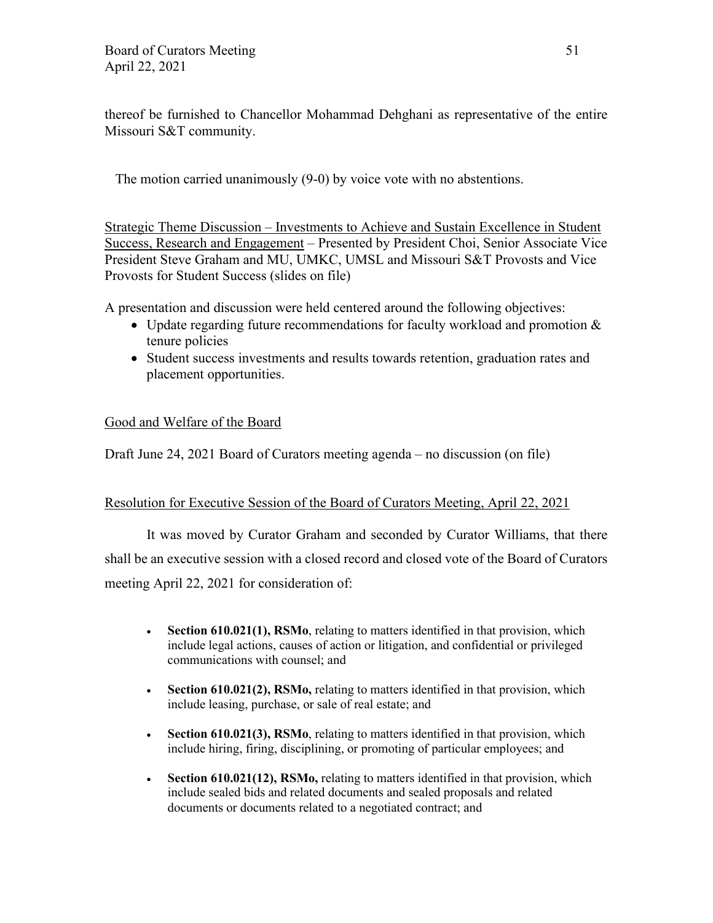thereof be furnished to Chancellor Mohammad Dehghani as representative of the entire Missouri S&T community.

The motion carried unanimously (9-0) by voice vote with no abstentions.

Strategic Theme Discussion – Investments to Achieve and Sustain Excellence in Student Success, Research and Engagement – Presented by President Choi, Senior Associate Vice President Steve Graham and MU, UMKC, UMSL and Missouri S&T Provosts and Vice Provosts for Student Success (slides on file)

A presentation and discussion were held centered around the following objectives:

- Update regarding future recommendations for faculty workload and promotion  $\&$ tenure policies
- Student success investments and results towards retention, graduation rates and placement opportunities.

# Good and Welfare of the Board

Draft June 24, 2021 Board of Curators meeting agenda – no discussion (on file)

## Resolution for Executive Session of the Board of Curators Meeting, April 22, 2021

It was moved by Curator Graham and seconded by Curator Williams, that there shall be an executive session with a closed record and closed vote of the Board of Curators meeting April 22, 2021 for consideration of:

- **Section 610.021(1), RSMo**, relating to matters identified in that provision, which include legal actions, causes of action or litigation, and confidential or privileged communications with counsel; and
- **Section 610.021(2), RSMo,** relating to matters identified in that provision, which include leasing, purchase, or sale of real estate; and
- **Section 610.021(3), RSMo**, relating to matters identified in that provision, which include hiring, firing, disciplining, or promoting of particular employees; and
- **Section 610.021(12), RSMo,** relating to matters identified in that provision, which include sealed bids and related documents and sealed proposals and related documents or documents related to a negotiated contract; and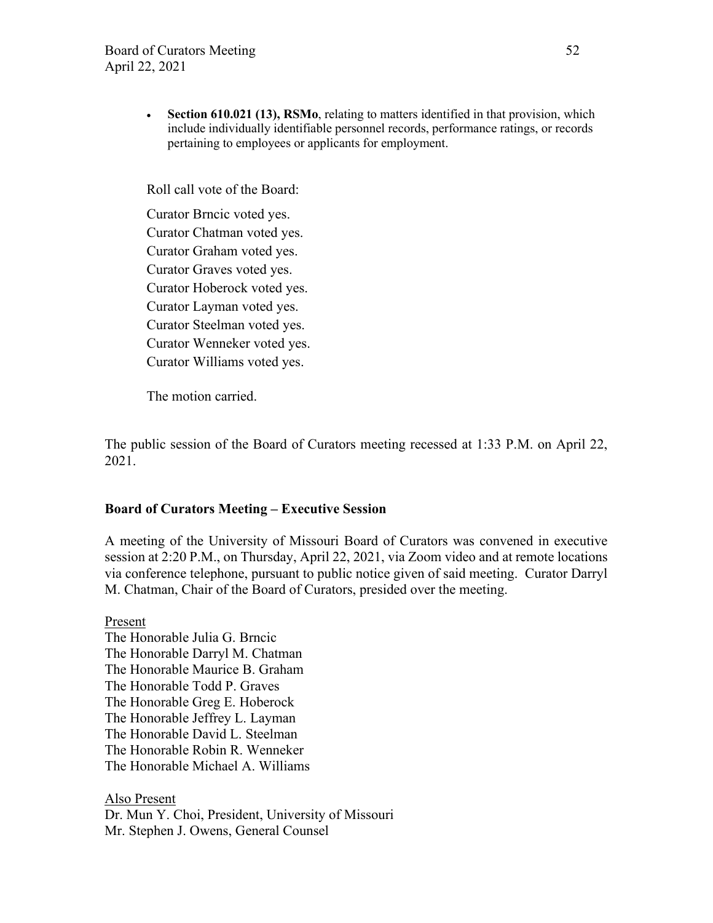• **Section 610.021 (13), RSMo**, relating to matters identified in that provision, which include individually identifiable personnel records, performance ratings, or records pertaining to employees or applicants for employment.

Roll call vote of the Board:

Curator Brncic voted yes. Curator Chatman voted yes. Curator Graham voted yes. Curator Graves voted yes. Curator Hoberock voted yes. Curator Layman voted yes. Curator Steelman voted yes. Curator Wenneker voted yes. Curator Williams voted yes.

The motion carried.

The public session of the Board of Curators meeting recessed at 1:33 P.M. on April 22, 2021.

### **Board of Curators Meeting – Executive Session**

A meeting of the University of Missouri Board of Curators was convened in executive session at 2:20 P.M., on Thursday, April 22, 2021, via Zoom video and at remote locations via conference telephone, pursuant to public notice given of said meeting. Curator Darryl M. Chatman, Chair of the Board of Curators, presided over the meeting.

Present The Honorable Julia G. Brncic The Honorable Darryl M. Chatman The Honorable Maurice B. Graham The Honorable Todd P. Graves The Honorable Greg E. Hoberock The Honorable Jeffrey L. Layman The Honorable David L. Steelman The Honorable Robin R. Wenneker The Honorable Michael A. Williams

Also Present Dr. Mun Y. Choi, President, University of Missouri Mr. Stephen J. Owens, General Counsel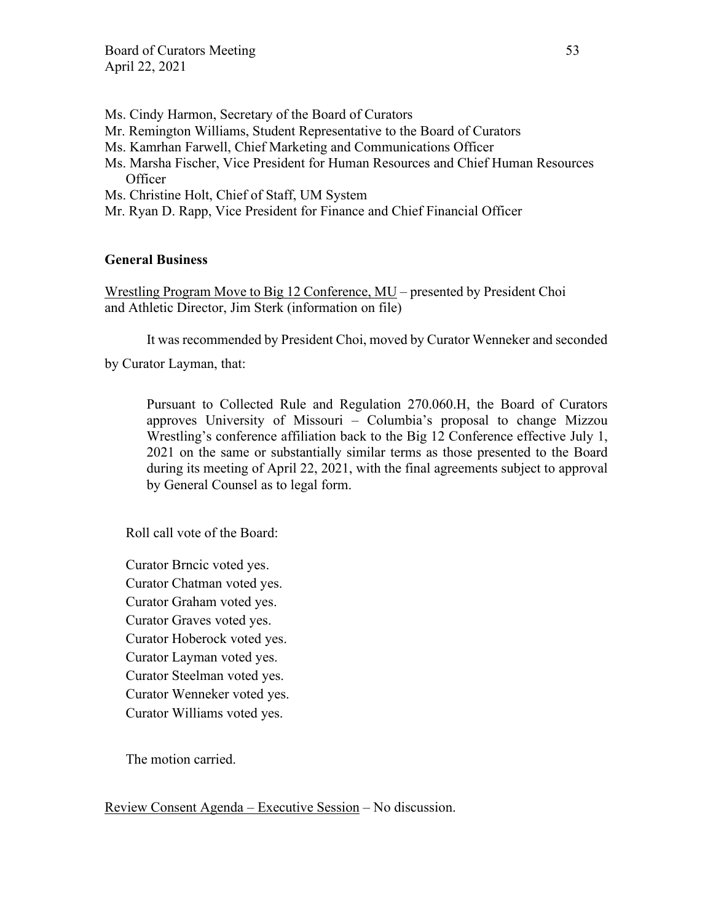- Ms. Cindy Harmon, Secretary of the Board of Curators
- Mr. Remington Williams, Student Representative to the Board of Curators
- Ms. Kamrhan Farwell, Chief Marketing and Communications Officer
- Ms. Marsha Fischer, Vice President for Human Resources and Chief Human Resources **Officer**
- Ms. Christine Holt, Chief of Staff, UM System
- Mr. Ryan D. Rapp, Vice President for Finance and Chief Financial Officer

#### **General Business**

Wrestling Program Move to Big 12 Conference, MU – presented by President Choi and Athletic Director, Jim Sterk (information on file)

It was recommended by President Choi, moved by Curator Wenneker and seconded

by Curator Layman, that:

Pursuant to Collected Rule and Regulation 270.060.H, the Board of Curators approves University of Missouri – Columbia's proposal to change Mizzou Wrestling's conference affiliation back to the Big 12 Conference effective July 1, 2021 on the same or substantially similar terms as those presented to the Board during its meeting of April 22, 2021, with the final agreements subject to approval by General Counsel as to legal form.

Roll call vote of the Board:

Curator Brncic voted yes. Curator Chatman voted yes. Curator Graham voted yes. Curator Graves voted yes. Curator Hoberock voted yes. Curator Layman voted yes. Curator Steelman voted yes. Curator Wenneker voted yes. Curator Williams voted yes.

The motion carried.

Review Consent Agenda – Executive Session – No discussion.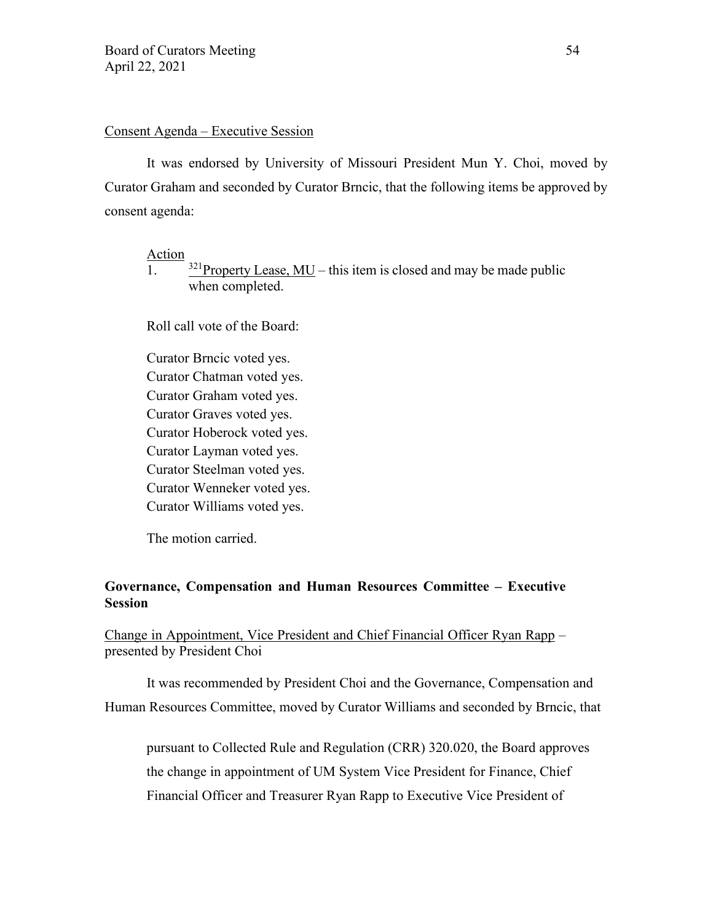#### Consent Agenda – Executive Session

It was endorsed by University of Missouri President Mun Y. Choi, moved by Curator Graham and seconded by Curator Brncic, that the following items be approved by consent agenda:

Action

1.  $\frac{321}{}$ Property Lease, MU – this item is closed and may be made public when completed.

Roll call vote of the Board:

Curator Brncic voted yes. Curator Chatman voted yes. Curator Graham voted yes. Curator Graves voted yes. Curator Hoberock voted yes. Curator Layman voted yes. Curator Steelman voted yes. Curator Wenneker voted yes. Curator Williams voted yes.

The motion carried.

# **Governance, Compensation and Human Resources Committee – Executive Session**

Change in Appointment, Vice President and Chief Financial Officer Ryan Rapp – presented by President Choi

It was recommended by President Choi and the Governance, Compensation and Human Resources Committee, moved by Curator Williams and seconded by Brncic, that

pursuant to Collected Rule and Regulation (CRR) 320.020, the Board approves the change in appointment of UM System Vice President for Finance, Chief Financial Officer and Treasurer Ryan Rapp to Executive Vice President of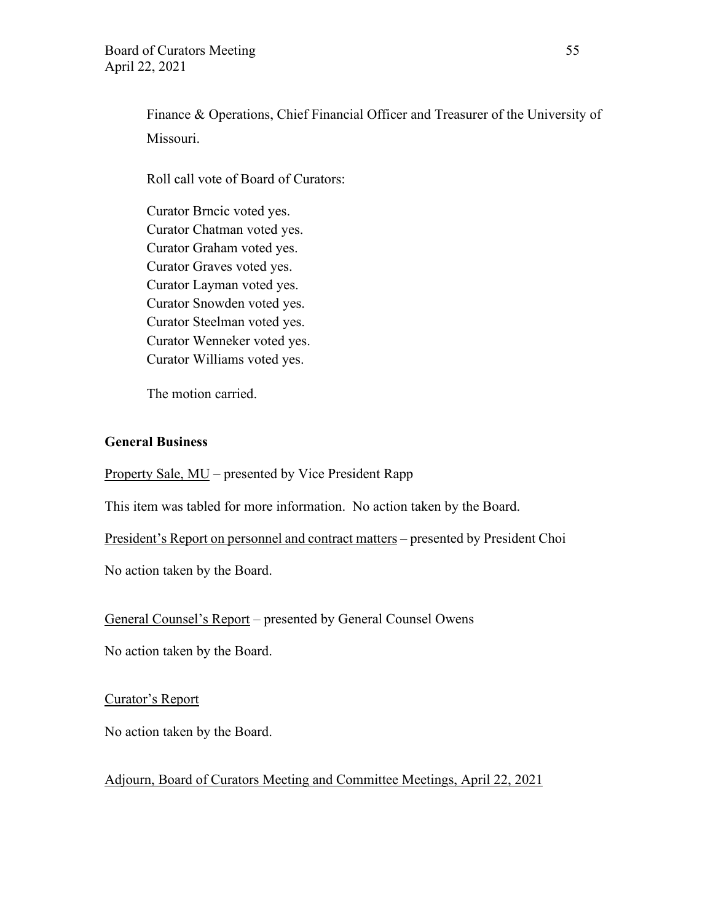Finance & Operations, Chief Financial Officer and Treasurer of the University of Missouri.

Roll call vote of Board of Curators:

Curator Brncic voted yes. Curator Chatman voted yes. Curator Graham voted yes. Curator Graves voted yes. Curator Layman voted yes. Curator Snowden voted yes. Curator Steelman voted yes. Curator Wenneker voted yes. Curator Williams voted yes.

The motion carried.

## **General Business**

Property Sale, MU – presented by Vice President Rapp

This item was tabled for more information. No action taken by the Board.

President's Report on personnel and contract matters – presented by President Choi

No action taken by the Board.

General Counsel's Report – presented by General Counsel Owens

No action taken by the Board.

#### Curator's Report

No action taken by the Board.

Adjourn, Board of Curators Meeting and Committee Meetings, April 22, 2021